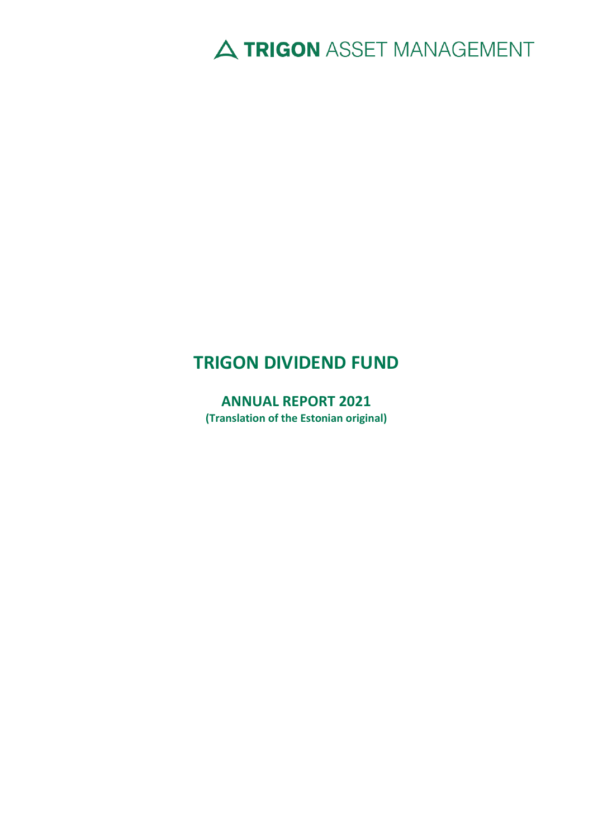# A TRIGON ASSET MANAGEMENT

# **TRIGON DIVIDEND FUND**

**ANNUAL REPORT 2021 (Translation of the Estonian original)**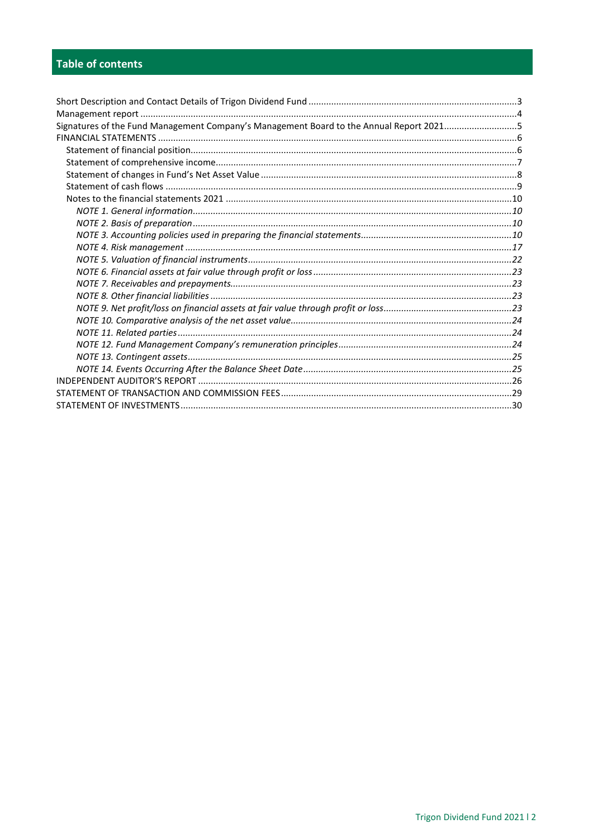# Table of contents

| Signatures of the Fund Management Company's Management Board to the Annual Report 20215 |  |
|-----------------------------------------------------------------------------------------|--|
|                                                                                         |  |
|                                                                                         |  |
|                                                                                         |  |
|                                                                                         |  |
|                                                                                         |  |
|                                                                                         |  |
|                                                                                         |  |
|                                                                                         |  |
|                                                                                         |  |
|                                                                                         |  |
|                                                                                         |  |
|                                                                                         |  |
|                                                                                         |  |
|                                                                                         |  |
|                                                                                         |  |
|                                                                                         |  |
|                                                                                         |  |
|                                                                                         |  |
|                                                                                         |  |
|                                                                                         |  |
|                                                                                         |  |
|                                                                                         |  |
|                                                                                         |  |
|                                                                                         |  |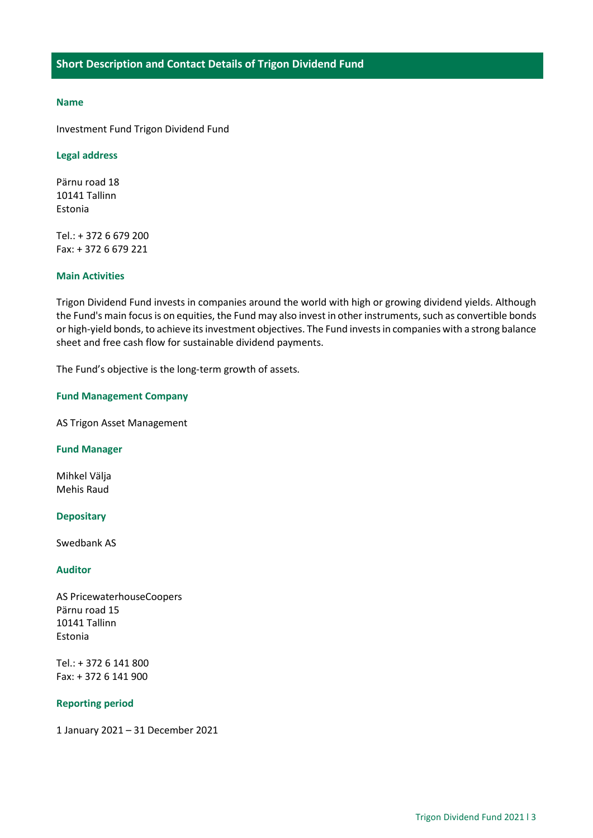#### <span id="page-2-0"></span>**Name**

Investment Fund Trigon Dividend Fund

#### **Legal address**

Pärnu road 18 10141 Tallinn Estonia

Tel.: + 372 6 679 200 Fax: + 372 6 679 221

## **Main Activities**

Trigon Dividend Fund invests in companies around the world with high or growing dividend yields. Although the Fund's main focus is on equities, the Fund may also invest in other instruments, such as convertible bonds or high-yield bonds, to achieve its investment objectives. The Fund invests in companies with a strong balance sheet and free cash flow for sustainable dividend payments.

The Fund's objective is the long-term growth of assets.

#### **Fund Management Company**

AS Trigon Asset Management

#### **Fund Manager**

Mihkel Välja Mehis Raud

### **Depositary**

Swedbank AS

#### **Auditor**

AS PricewaterhouseCoopers Pärnu road 15 10141 Tallinn Estonia

Tel.: + 372 6 141 800 Fax: + 372 6 141 900

## **Reporting period**

1 January 2021 – 31 December 2021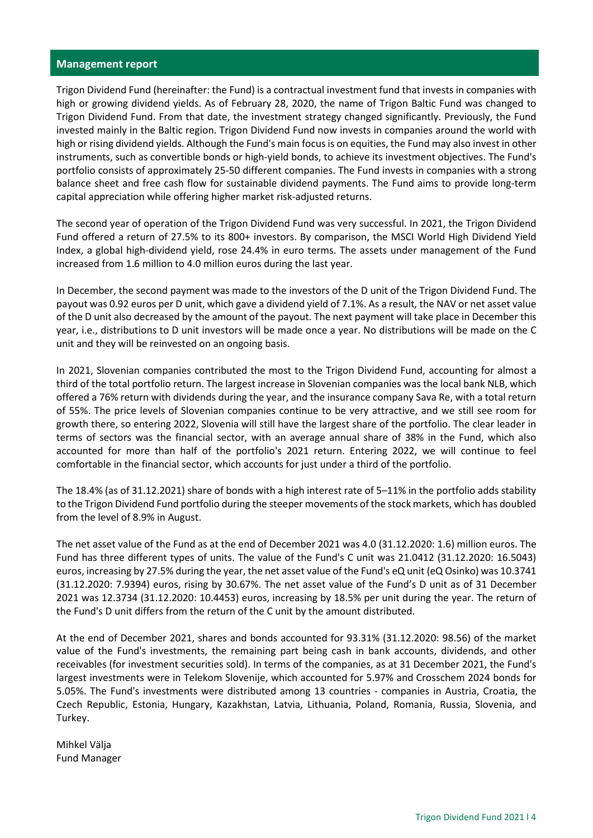## <span id="page-3-0"></span>**Management report**

Trigon Dividend Fund (hereinafter: the Fund) is a contractual investment fund that invests in companies with high or growing dividend yields. As of February 28, 2020, the name of Trigon Baltic Fund was changed to Trigon Dividend Fund. From that date, the investment strategy changed significantly. Previously, the Fund invested mainly in the Baltic region. Trigon Dividend Fund now invests in companies around the world with high or rising dividend yields. Although the Fund's main focus is on equities, the Fund may also invest in other instruments, such as convertible bonds or high-yield bonds, to achieve its investment objectives. The Fund's portfolio consists of approximately 25-50 different companies. The Fund invests in companies with a strong balance sheet and free cash flow for sustainable dividend payments. The Fund aims to provide long-term capital appreciation while offering higher market risk-adjusted returns.

The second year of operation of the Trigon Dividend Fund was very successful. In 2021, the Trigon Dividend Fund offered a return of 27.5% to its 800+ investors. By comparison, the MSCI World High Dividend Yield Index, a global high-dividend yield, rose 24.4% in euro terms. The assets under management of the Fund increased from 1.6 million to 4.0 million euros during the last year.

In December, the second payment was made to the investors of the D unit of the Trigon Dividend Fund. The payout was 0.92 euros per D unit, which gave a dividend yield of 7.1%. As a result, the NAV or net asset value of the D unit also decreased by the amount of the payout. The next payment will take place in December this year, i.e., distributions to D unit investors will be made once a year. No distributions will be made on the C unit and they will be reinvested on an ongoing basis.

In 2021, Slovenian companies contributed the most to the Trigon Dividend Fund, accounting for almost a third of the total portfolio return. The largest increase in Slovenian companies was the local bank NLB, which offered a 76% return with dividends during the year, and the insurance company Sava Re, with a total return of 55%. The price levels of Slovenian companies continue to be very attractive, and we still see room for growth there, so entering 2022, Slovenia will still have the largest share of the portfolio. The clear leader in terms of sectors was the financial sector, with an average annual share of 38% in the Fund, which also accounted for more than half of the portfolio's 2021 return. Entering 2022, we will continue to feel comfortable in the financial sector, which accounts for just under a third of the portfolio.

The 18.4% (as of 31.12.2021) share of bonds with a high interest rate of 5–11% in the portfolio adds stability to the Trigon Dividend Fund portfolio during the steeper movements of the stock markets, which has doubled from the level of 8.9% in August.

The net asset value of the Fund as at the end of December 2021 was 4.0 (31.12.2020: 1.6) million euros. The Fund has three different types of units. The value of the Fund's C unit was 21.0412 (31.12.2020: 16.5043) euros, increasing by 27.5% during the year, the net asset value of the Fund's eQ unit (eQ Osinko) was 10.3741 (31.12.2020: 7.9394) euros, rising by 30.67%. The net asset value of the Fund's D unit as of 31 December 2021 was 12.3734 (31.12.2020: 10.4453) euros, increasing by 18.5% per unit during the year. The return of the Fund's D unit differs from the return of the C unit by the amount distributed.

At the end of December 2021, shares and bonds accounted for 93.31% (31.12.2020: 98.56) of the market value of the Fund's investments, the remaining part being cash in bank accounts, dividends, and other receivables (for investment securities sold). In terms of the companies, as at 31 December 2021, the Fund's largest investments were in Telekom Slovenije, which accounted for 5.97% and Crosschem 2024 bonds for 5.05%. The Fund's investments were distributed among 13 countries - companies in Austria, Croatia, the Czech Republic, Estonia, Hungary, Kazakhstan, Latvia, Lithuania, Poland, Romania, Russia, Slovenia, and Turkey.

Mihkel Välja Fund Manager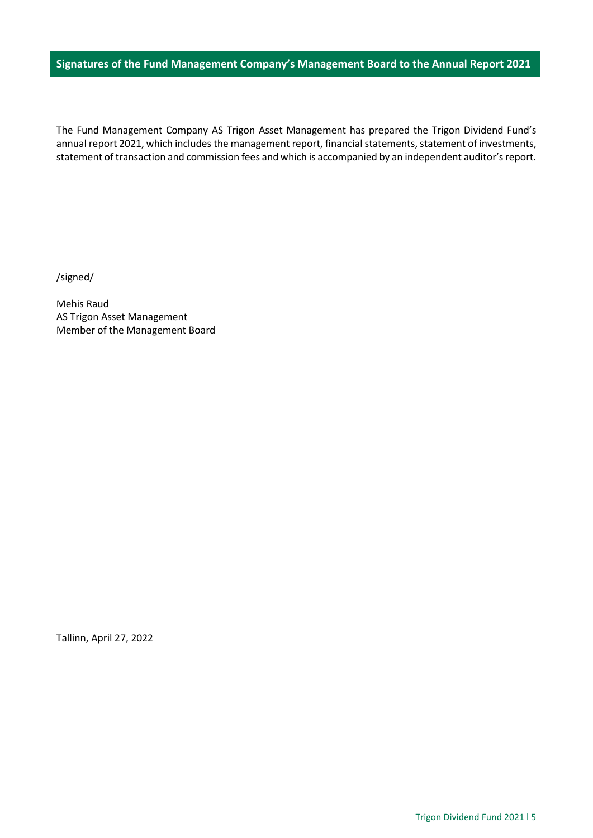## <span id="page-4-0"></span>**Signatures of the Fund Management Company's Management Board to the Annual Report 2021**

The Fund Management Company AS Trigon Asset Management has prepared the Trigon Dividend Fund's annual report 2021, which includes the management report, financial statements, statement of investments, statement of transaction and commission fees and which is accompanied by an independent auditor's report.

/signed/

Mehis Raud AS Trigon Asset Management Member of the Management Board

Tallinn, April 27, 2022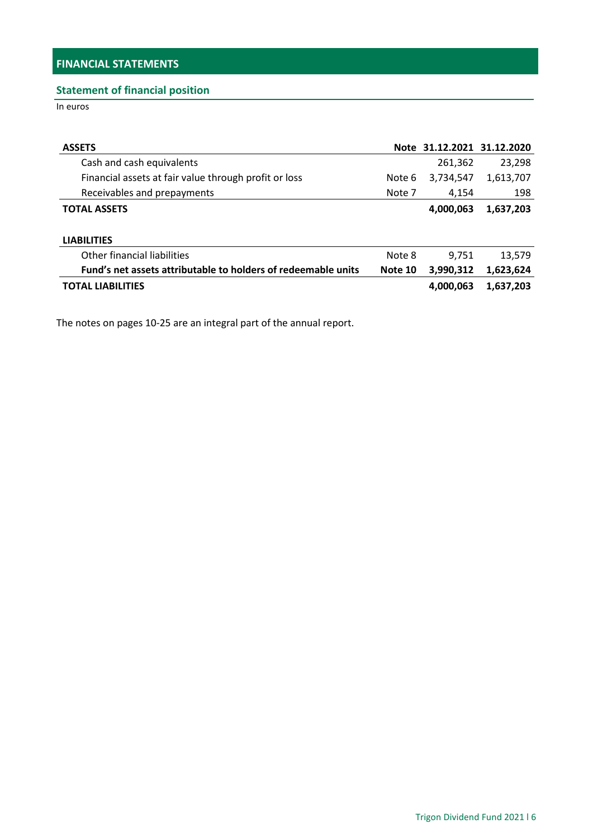## <span id="page-5-1"></span><span id="page-5-0"></span>**Statement of financial position**

In euros

| <b>ASSETS</b>                                                 |         | Note 31.12.2021 31.12.2020 |           |
|---------------------------------------------------------------|---------|----------------------------|-----------|
| Cash and cash equivalents                                     |         | 261,362                    | 23,298    |
| Financial assets at fair value through profit or loss         | Note 6  | 3,734,547                  | 1,613,707 |
| Receivables and prepayments                                   | Note 7  | 4.154                      | 198       |
| <b>TOTAL ASSETS</b>                                           |         | 4,000,063                  | 1,637,203 |
|                                                               |         |                            |           |
| <b>LIABILITIES</b>                                            |         |                            |           |
| Other financial liabilities                                   | Note 8  | 9,751                      | 13,579    |
| Fund's net assets attributable to holders of redeemable units | Note 10 | 3,990,312                  | 1,623,624 |
| <b>TOTAL LIABILITIES</b>                                      |         | 4,000,063                  | 1,637,203 |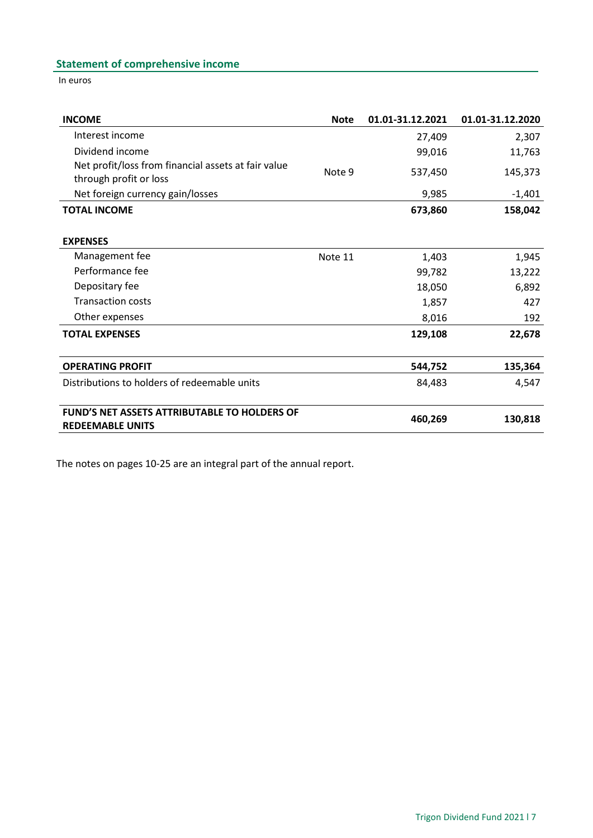# <span id="page-6-0"></span>**Statement of comprehensive income**

In euros

| <b>INCOME</b>                                                                  | <b>Note</b> | 01.01-31.12.2021 | 01.01-31.12.2020 |
|--------------------------------------------------------------------------------|-------------|------------------|------------------|
| Interest income                                                                |             | 27,409           | 2,307            |
| Dividend income                                                                |             | 99,016           | 11,763           |
| Net profit/loss from financial assets at fair value<br>through profit or loss  | Note 9      | 537,450          | 145,373          |
| Net foreign currency gain/losses                                               |             | 9,985            | $-1,401$         |
| <b>TOTAL INCOME</b>                                                            |             | 673,860          | 158,042          |
| <b>EXPENSES</b>                                                                |             |                  |                  |
| Management fee                                                                 | Note 11     | 1,403            | 1,945            |
| Performance fee                                                                |             | 99,782           | 13,222           |
| Depositary fee                                                                 |             | 18,050           | 6,892            |
| <b>Transaction costs</b>                                                       |             | 1,857            | 427              |
| Other expenses                                                                 |             | 8,016            | 192              |
| <b>TOTAL EXPENSES</b>                                                          |             | 129,108          | 22,678           |
| <b>OPERATING PROFIT</b>                                                        |             | 544,752          | 135,364          |
| Distributions to holders of redeemable units                                   |             | 84,483           | 4,547            |
| <b>FUND'S NET ASSETS ATTRIBUTABLE TO HOLDERS OF</b><br><b>REDEEMABLE UNITS</b> |             | 460,269          | 130,818          |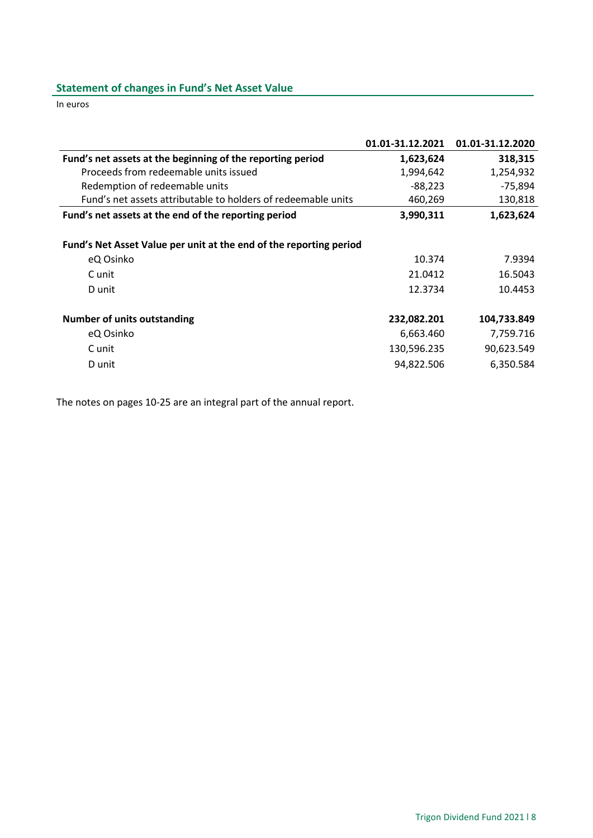# <span id="page-7-0"></span>**Statement of changes in Fund's Net Asset Value**

In euros

|                                                                    | 01.01-31.12.2021 | 01.01-31.12.2020 |
|--------------------------------------------------------------------|------------------|------------------|
| Fund's net assets at the beginning of the reporting period         | 1,623,624        | 318,315          |
| Proceeds from redeemable units issued                              | 1,994,642        | 1,254,932        |
| Redemption of redeemable units                                     | $-88,223$        | $-75,894$        |
| Fund's net assets attributable to holders of redeemable units      | 460,269          | 130,818          |
| Fund's net assets at the end of the reporting period               | 3,990,311        | 1,623,624        |
| Fund's Net Asset Value per unit at the end of the reporting period |                  |                  |
| eQ Osinko                                                          | 10.374           | 7.9394           |
| C unit                                                             | 21.0412          | 16.5043          |
| D unit                                                             | 12.3734          | 10.4453          |
| <b>Number of units outstanding</b>                                 | 232,082.201      | 104,733.849      |
| eQ Osinko                                                          | 6,663.460        | 7,759.716        |
| C unit                                                             | 130,596.235      | 90,623.549       |
| D unit                                                             | 94,822.506       | 6,350.584        |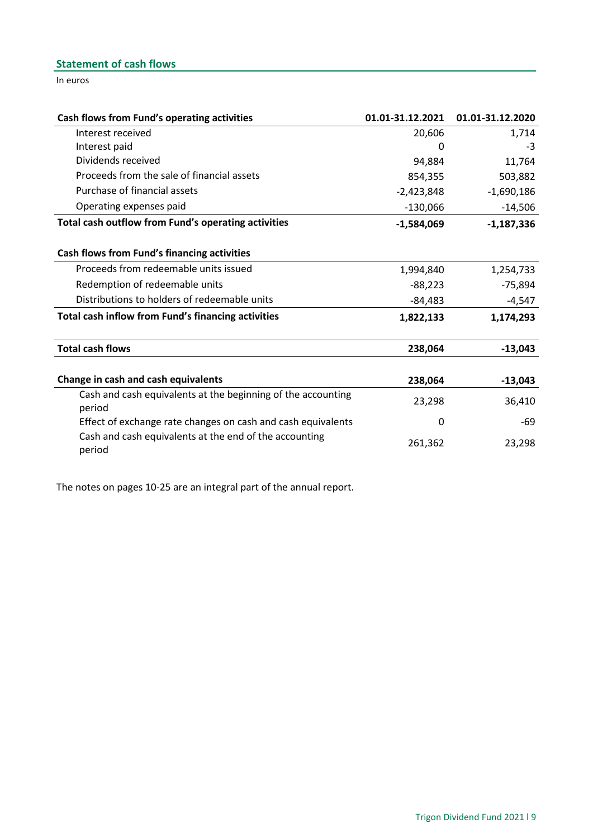# <span id="page-8-0"></span>**Statement of cash flows**

In euros

| Cash flows from Fund's operating activities                            | 01.01-31.12.2021 | 01.01-31.12.2020 |
|------------------------------------------------------------------------|------------------|------------------|
| Interest received                                                      | 20,606           | 1,714            |
| Interest paid                                                          |                  | -3               |
| Dividends received                                                     | 94,884           | 11,764           |
| Proceeds from the sale of financial assets                             | 854,355          | 503,882          |
| Purchase of financial assets                                           | $-2,423,848$     | $-1,690,186$     |
| Operating expenses paid                                                | $-130,066$       | $-14,506$        |
| Total cash outflow from Fund's operating activities                    | $-1,584,069$     | $-1,187,336$     |
| Cash flows from Fund's financing activities                            |                  |                  |
| Proceeds from redeemable units issued                                  | 1,994,840        | 1,254,733        |
| Redemption of redeemable units                                         | $-88,223$        | $-75,894$        |
| Distributions to holders of redeemable units                           | $-84,483$        | $-4,547$         |
| Total cash inflow from Fund's financing activities                     | 1,822,133        | 1,174,293        |
| <b>Total cash flows</b>                                                | 238,064          | $-13,043$        |
| Change in cash and cash equivalents                                    | 238,064          | $-13,043$        |
| Cash and cash equivalents at the beginning of the accounting<br>period | 23,298           | 36,410           |
| Effect of exchange rate changes on cash and cash equivalents           | 0                | -69              |
| Cash and cash equivalents at the end of the accounting<br>period       | 261,362          | 23,298           |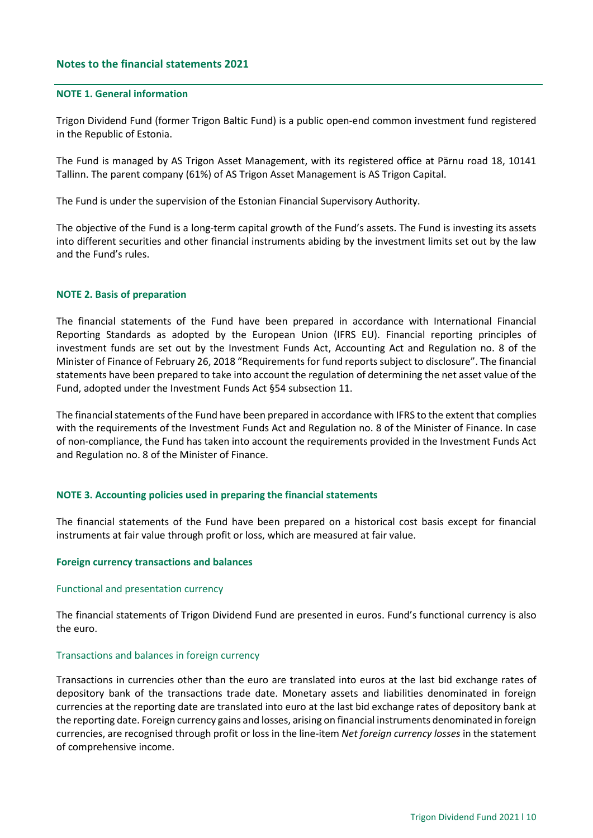## <span id="page-9-0"></span>**Notes to the financial statements 2021**

### <span id="page-9-1"></span>**NOTE 1. General information**

Trigon Dividend Fund (former Trigon Baltic Fund) is a public open-end common investment fund registered in the Republic of Estonia.

The Fund is managed by AS Trigon Asset Management, with its registered office at Pärnu road 18, 10141 Tallinn. The parent company (61%) of AS Trigon Asset Management is AS Trigon Capital.

The Fund is under the supervision of the Estonian Financial Supervisory Authority.

The objective of the Fund is a long-term capital growth of the Fund's assets. The Fund is investing its assets into different securities and other financial instruments abiding by the investment limits set out by the law and the Fund's rules.

### <span id="page-9-2"></span>**NOTE 2. Basis of preparation**

The financial statements of the Fund have been prepared in accordance with International Financial Reporting Standards as adopted by the European Union (IFRS EU). Financial reporting principles of investment funds are set out by the Investment Funds Act, Accounting Act and Regulation no. 8 of the Minister of Finance of February 26, 2018 "Requirements for fund reports subject to disclosure". The financial statements have been prepared to take into account the regulation of determining the net asset value of the Fund, adopted under the Investment Funds Act §54 subsection 11.

The financial statements of the Fund have been prepared in accordance with IFRS to the extent that complies with the requirements of the Investment Funds Act and Regulation no. 8 of the Minister of Finance. In case of non-compliance, the Fund has taken into account the requirements provided in the Investment Funds Act and Regulation no. 8 of the Minister of Finance.

#### <span id="page-9-3"></span>**NOTE 3. Accounting policies used in preparing the financial statements**

The financial statements of the Fund have been prepared on a historical cost basis except for financial instruments at fair value through profit or loss, which are measured at fair value.

#### **Foreign currency transactions and balances**

#### Functional and presentation currency

The financial statements of Trigon Dividend Fund are presented in euros. Fund's functional currency is also the euro.

#### Transactions and balances in foreign currency

Transactions in currencies other than the euro are translated into euros at the last bid exchange rates of depository bank of the transactions trade date. Monetary assets and liabilities denominated in foreign currencies at the reporting date are translated into euro at the last bid exchange rates of depository bank at the reporting date. Foreign currency gains and losses, arising on financial instruments denominated in foreign currencies, are recognised through profit or loss in the line-item *Net foreign currency losses* in the statement of comprehensive income.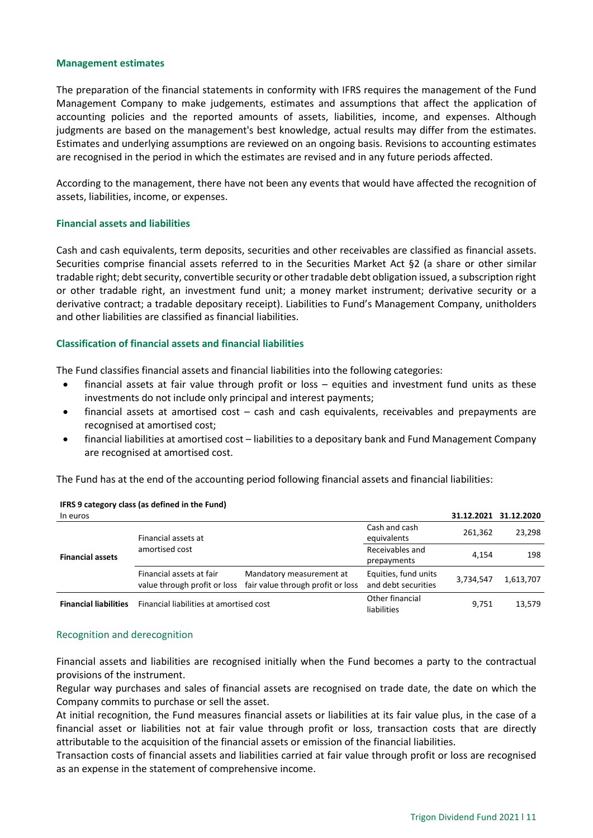### **Management estimates**

The preparation of the financial statements in conformity with IFRS requires the management of the Fund Management Company to make judgements, estimates and assumptions that affect the application of accounting policies and the reported amounts of assets, liabilities, income, and expenses. Although judgments are based on the management's best knowledge, actual results may differ from the estimates. Estimates and underlying assumptions are reviewed on an ongoing basis. Revisions to accounting estimates are recognised in the period in which the estimates are revised and in any future periods affected.

According to the management, there have not been any events that would have affected the recognition of assets, liabilities, income, or expenses.

### **Financial assets and liabilities**

Cash and cash equivalents, term deposits, securities and other receivables are classified as financial assets. Securities comprise financial assets referred to in the Securities Market Act §2 (a share or other similar tradable right; debt security, convertible security or other tradable debt obligation issued, a subscription right or other tradable right, an investment fund unit; a money market instrument; derivative security or a derivative contract; a tradable depositary receipt). Liabilities to Fund's Management Company, unitholders and other liabilities are classified as financial liabilities.

## **Classification of financial assets and financial liabilities**

The Fund classifies financial assets and financial liabilities into the following categories:

- financial assets at fair value through profit or loss equities and investment fund units as these investments do not include only principal and interest payments;
- financial assets at amortised cost cash and cash equivalents, receivables and prepayments are recognised at amortised cost;
- financial liabilities at amortised cost liabilities to a depositary bank and Fund Management Company are recognised at amortised cost.

The Fund has at the end of the accounting period following financial assets and financial liabilities:

| In euros                     |                                                          |                                                               |                                             | 31.12.2021 | 31.12.2020 |
|------------------------------|----------------------------------------------------------|---------------------------------------------------------------|---------------------------------------------|------------|------------|
|                              | Financial assets at                                      |                                                               | Cash and cash<br>equivalents                | 261,362    | 23,298     |
| <b>Financial assets</b>      | amortised cost                                           |                                                               | Receivables and<br>prepayments              | 4.154      | 198        |
|                              | Financial assets at fair<br>value through profit or loss | Mandatory measurement at<br>fair value through profit or loss | Equities, fund units<br>and debt securities | 3,734,547  | 1,613,707  |
| <b>Financial liabilities</b> | Financial liabilities at amortised cost                  |                                                               | Other financial<br>liabilities              | 9,751      | 13,579     |

### **IFRS 9 category class (as defined in the Fund)**

#### Recognition and derecognition

Financial assets and liabilities are recognised initially when the Fund becomes a party to the contractual provisions of the instrument.

Regular way purchases and sales of financial assets are recognised on trade date, the date on which the Company commits to purchase or sell the asset.

At initial recognition, the Fund measures financial assets or liabilities at its fair value plus, in the case of a financial asset or liabilities not at fair value through profit or loss, transaction costs that are directly attributable to the acquisition of the financial assets or emission of the financial liabilities.

Transaction costs of financial assets and liabilities carried at fair value through profit or loss are recognised as an expense in the statement of comprehensive income.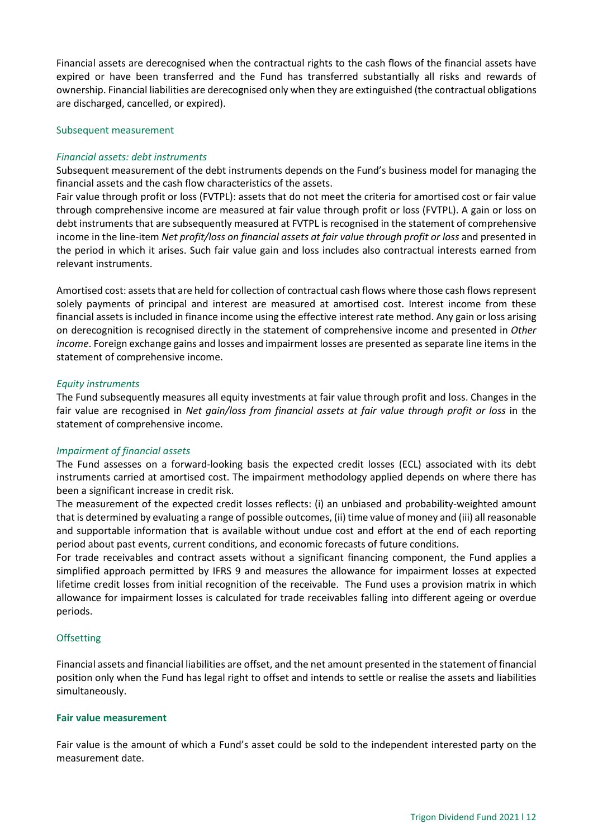Financial assets are derecognised when the contractual rights to the cash flows of the financial assets have expired or have been transferred and the Fund has transferred substantially all risks and rewards of ownership. Financial liabilities are derecognised only when they are extinguished (the contractual obligations are discharged, cancelled, or expired).

#### Subsequent measurement

### *Financial assets: debt instruments*

Subsequent measurement of the debt instruments depends on the Fund's business model for managing the financial assets and the cash flow characteristics of the assets.

Fair value through profit or loss (FVTPL): assets that do not meet the criteria for amortised cost or fair value through comprehensive income are measured at fair value through profit or loss (FVTPL). A gain or loss on debt instruments that are subsequently measured at FVTPL is recognised in the statement of comprehensive income in the line-item *Net profit/loss on financial assets at fair value through profit or loss* and presented in the period in which it arises. Such fair value gain and loss includes also contractual interests earned from relevant instruments.

Amortised cost: assets that are held for collection of contractual cash flows where those cash flows represent solely payments of principal and interest are measured at amortised cost. Interest income from these financial assets is included in finance income using the effective interest rate method. Any gain or loss arising on derecognition is recognised directly in the statement of comprehensive income and presented in *Other income*. Foreign exchange gains and losses and impairment losses are presented as separate line items in the statement of comprehensive income.

#### *Equity instruments*

The Fund subsequently measures all equity investments at fair value through profit and loss. Changes in the fair value are recognised in *Net gain/loss from financial assets at fair value through profit or loss* in the statement of comprehensive income.

## *Impairment of financial assets*

The Fund assesses on a forward-looking basis the expected credit losses (ECL) associated with its debt instruments carried at amortised cost. The impairment methodology applied depends on where there has been a significant increase in credit risk.

The measurement of the expected credit losses reflects: (i) an unbiased and probability-weighted amount that is determined by evaluating a range of possible outcomes, (ii) time value of money and (iii) all reasonable and supportable information that is available without undue cost and effort at the end of each reporting period about past events, current conditions, and economic forecasts of future conditions.

For trade receivables and contract assets without a significant financing component, the Fund applies a simplified approach permitted by IFRS 9 and measures the allowance for impairment losses at expected lifetime credit losses from initial recognition of the receivable. The Fund uses a provision matrix in which allowance for impairment losses is calculated for trade receivables falling into different ageing or overdue periods.

## **Offsetting**

Financial assets and financial liabilities are offset, and the net amount presented in the statement of financial position only when the Fund has legal right to offset and intends to settle or realise the assets and liabilities simultaneously.

#### **Fair value measurement**

Fair value is the amount of which a Fund's asset could be sold to the independent interested party on the measurement date.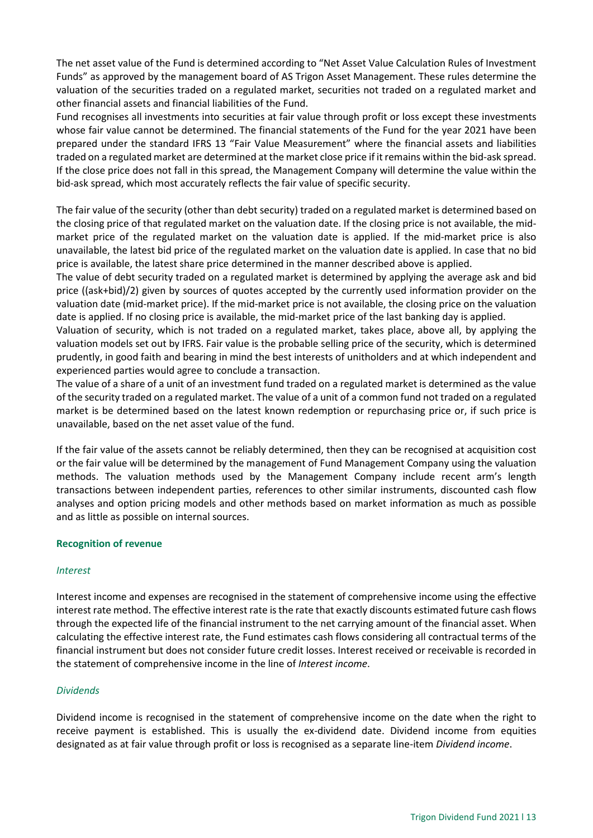The net asset value of the Fund is determined according to "Net Asset Value Calculation Rules of Investment Funds" as approved by the management board of AS Trigon Asset Management. These rules determine the valuation of the securities traded on a regulated market, securities not traded on a regulated market and other financial assets and financial liabilities of the Fund.

Fund recognises all investments into securities at fair value through profit or loss except these investments whose fair value cannot be determined. The financial statements of the Fund for the year 2021 have been prepared under the standard IFRS 13 "Fair Value Measurement" where the financial assets and liabilities traded on a regulated market are determined at the market close price if it remains within the bid-ask spread. If the close price does not fall in this spread, the Management Company will determine the value within the bid-ask spread, which most accurately reflects the fair value of specific security.

The fair value of the security (other than debt security) traded on a regulated market is determined based on the closing price of that regulated market on the valuation date. If the closing price is not available, the midmarket price of the regulated market on the valuation date is applied. If the mid-market price is also unavailable, the latest bid price of the regulated market on the valuation date is applied. In case that no bid price is available, the latest share price determined in the manner described above is applied.

The value of debt security traded on a regulated market is determined by applying the average ask and bid price ((ask+bid)/2) given by sources of quotes accepted by the currently used information provider on the valuation date (mid-market price). If the mid-market price is not available, the closing price on the valuation date is applied. If no closing price is available, the mid-market price of the last banking day is applied.

Valuation of security, which is not traded on a regulated market, takes place, above all, by applying the valuation models set out by IFRS. Fair value is the probable selling price of the security, which is determined prudently, in good faith and bearing in mind the best interests of unitholders and at which independent and experienced parties would agree to conclude a transaction.

The value of a share of a unit of an investment fund traded on a regulated market is determined as the value of the security traded on a regulated market. The value of a unit of a common fund not traded on a regulated market is be determined based on the latest known redemption or repurchasing price or, if such price is unavailable, based on the net asset value of the fund.

If the fair value of the assets cannot be reliably determined, then they can be recognised at acquisition cost or the fair value will be determined by the management of Fund Management Company using the valuation methods. The valuation methods used by the Management Company include recent arm's length transactions between independent parties, references to other similar instruments, discounted cash flow analyses and option pricing models and other methods based on market information as much as possible and as little as possible on internal sources.

## **Recognition of revenue**

## *Interest*

Interest income and expenses are recognised in the statement of comprehensive income using the effective interest rate method. The effective interest rate is the rate that exactly discounts estimated future cash flows through the expected life of the financial instrument to the net carrying amount of the financial asset. When calculating the effective interest rate, the Fund estimates cash flows considering all contractual terms of the financial instrument but does not consider future credit losses. Interest received or receivable is recorded in the statement of comprehensive income in the line of *Interest income*.

## *Dividends*

Dividend income is recognised in the statement of comprehensive income on the date when the right to receive payment is established. This is usually the ex-dividend date. Dividend income from equities designated as at fair value through profit or loss is recognised as a separate line-item *Dividend income*.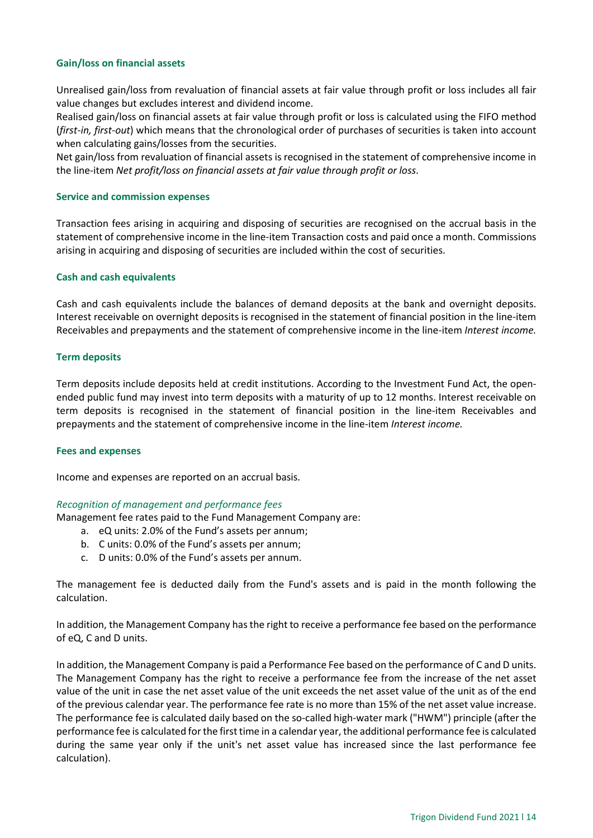## **Gain/loss on financial assets**

Unrealised gain/loss from revaluation of financial assets at fair value through profit or loss includes all fair value changes but excludes interest and dividend income.

Realised gain/loss on financial assets at fair value through profit or loss is calculated using the FIFO method (*first-in, first-out*) which means that the chronological order of purchases of securities is taken into account when calculating gains/losses from the securities.

Net gain/loss from revaluation of financial assets is recognised in the statement of comprehensive income in the line-item *Net profit/loss on financial assets at fair value through profit or loss*.

#### **Service and commission expenses**

Transaction fees arising in acquiring and disposing of securities are recognised on the accrual basis in the statement of comprehensive income in the line-item Transaction costs and paid once a month. Commissions arising in acquiring and disposing of securities are included within the cost of securities.

### **Cash and cash equivalents**

Cash and cash equivalents include the balances of demand deposits at the bank and overnight deposits. Interest receivable on overnight deposits is recognised in the statement of financial position in the line-item Receivables and prepayments and the statement of comprehensive income in the line-item *Interest income.*

### **Term deposits**

Term deposits include deposits held at credit institutions. According to the Investment Fund Act, the openended public fund may invest into term deposits with a maturity of up to 12 months. Interest receivable on term deposits is recognised in the statement of financial position in the line-item Receivables and prepayments and the statement of comprehensive income in the line-item *Interest income.*

#### **Fees and expenses**

Income and expenses are reported on an accrual basis.

#### *Recognition of management and performance fees*

Management fee rates paid to the Fund Management Company are:

- a. eQ units: 2.0% of the Fund's assets per annum;
- b. C units: 0.0% of the Fund's assets per annum;
- c. D units: 0.0% of the Fund's assets per annum.

The management fee is deducted daily from the Fund's assets and is paid in the month following the calculation.

In addition, the Management Company has the right to receive a performance fee based on the performance of eQ, C and D units.

In addition, the Management Company is paid a Performance Fee based on the performance of C and D units. The Management Company has the right to receive a performance fee from the increase of the net asset value of the unit in case the net asset value of the unit exceeds the net asset value of the unit as of the end of the previous calendar year. The performance fee rate is no more than 15% of the net asset value increase. The performance fee is calculated daily based on the so-called high-water mark ("HWM") principle (after the performance fee is calculated for the first time in a calendar year, the additional performance fee is calculated during the same year only if the unit's net asset value has increased since the last performance fee calculation).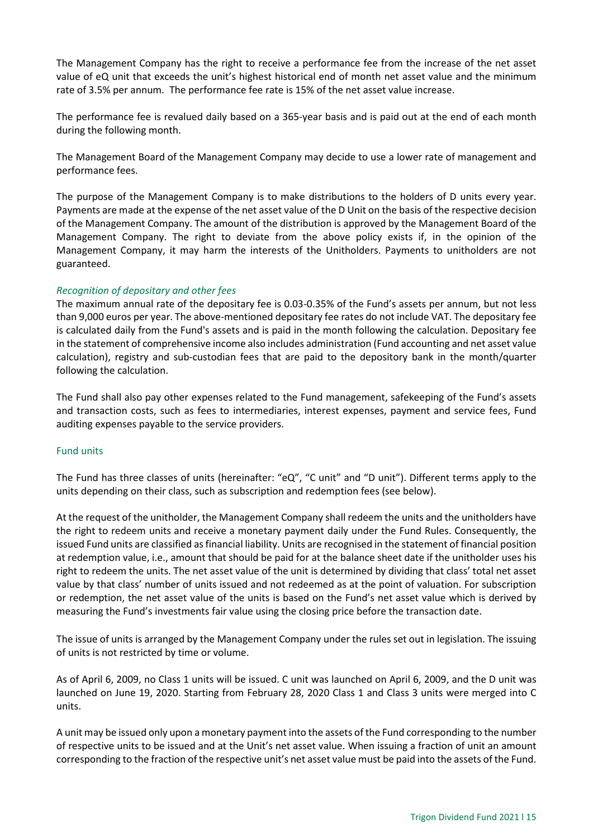The Management Company has the right to receive a performance fee from the increase of the net asset value of eQ unit that exceeds the unit's highest historical end of month net asset value and the minimum rate of 3.5% per annum. The performance fee rate is 15% of the net asset value increase.

The performance fee is revalued daily based on a 365-year basis and is paid out at the end of each month during the following month.

The Management Board of the Management Company may decide to use a lower rate of management and performance fees.

The purpose of the Management Company is to make distributions to the holders of D units every year. Payments are made at the expense of the net asset value of the D Unit on the basis of the respective decision of the Management Company. The amount of the distribution is approved by the Management Board of the Management Company. The right to deviate from the above policy exists if, in the opinion of the Management Company, it may harm the interests of the Unitholders. Payments to unitholders are not guaranteed.

## *Recognition of depositary and other fees*

The maximum annual rate of the depositary fee is 0.03-0.35% of the Fund's assets per annum, but not less than 9,000 euros per year. The above-mentioned depositary fee rates do not include VAT. The depositary fee is calculated daily from the Fund's assets and is paid in the month following the calculation. Depositary fee in the statement of comprehensive income also includes administration (Fund accounting and net asset value calculation), registry and sub-custodian fees that are paid to the depository bank in the month/quarter following the calculation.

The Fund shall also pay other expenses related to the Fund management, safekeeping of the Fund's assets and transaction costs, such as fees to intermediaries, interest expenses, payment and service fees, Fund auditing expenses payable to the service providers.

## Fund units

The Fund has three classes of units (hereinafter: "eQ", "C unit" and "D unit"). Different terms apply to the units depending on their class, such as subscription and redemption fees (see below).

At the request of the unitholder, the Management Company shall redeem the units and the unitholders have the right to redeem units and receive a monetary payment daily under the Fund Rules. Consequently, the issued Fund units are classified as financial liability. Units are recognised in the statement of financial position at redemption value, i.e., amount that should be paid for at the balance sheet date if the unitholder uses his right to redeem the units. The net asset value of the unit is determined by dividing that class' total net asset value by that class' number of units issued and not redeemed as at the point of valuation. For subscription or redemption, the net asset value of the units is based on the Fund's net asset value which is derived by measuring the Fund's investments fair value using the closing price before the transaction date.

The issue of units is arranged by the Management Company under the rules set out in legislation. The issuing of units is not restricted by time or volume.

As of April 6, 2009, no Class 1 units will be issued. C unit was launched on April 6, 2009, and the D unit was launched on June 19, 2020. Starting from February 28, 2020 Class 1 and Class 3 units were merged into C units.

A unit may be issued only upon a monetary payment into the assets of the Fund corresponding to the number of respective units to be issued and at the Unit's net asset value. When issuing a fraction of unit an amount corresponding to the fraction of the respective unit's net asset value must be paid into the assets of the Fund.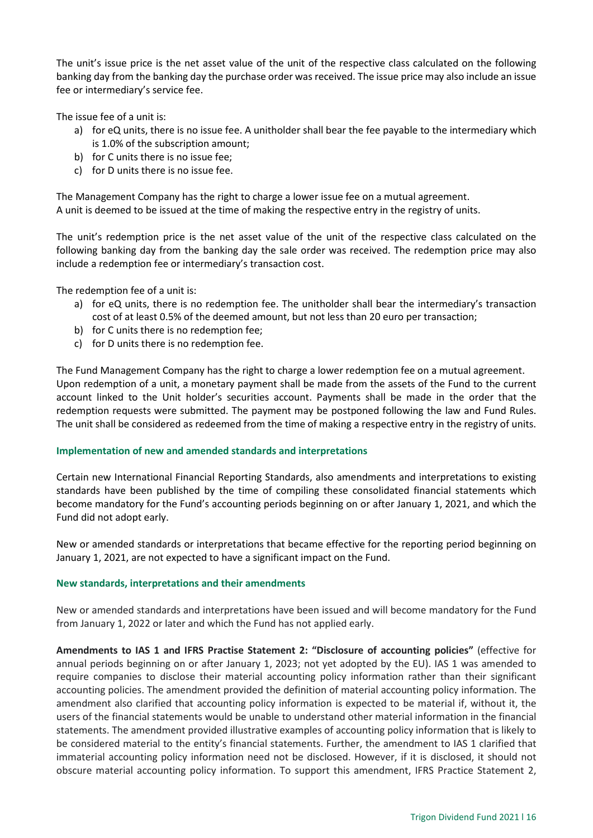The unit's issue price is the net asset value of the unit of the respective class calculated on the following banking day from the banking day the purchase order was received. The issue price may also include an issue fee or intermediary's service fee.

The issue fee of a unit is:

- a) for eQ units, there is no issue fee. A unitholder shall bear the fee payable to the intermediary which is 1.0% of the subscription amount;
- b) for C units there is no issue fee;
- c) for D units there is no issue fee.

The Management Company has the right to charge a lower issue fee on a mutual agreement. A unit is deemed to be issued at the time of making the respective entry in the registry of units.

The unit's redemption price is the net asset value of the unit of the respective class calculated on the following banking day from the banking day the sale order was received. The redemption price may also include a redemption fee or intermediary's transaction cost.

The redemption fee of a unit is:

- a) for eQ units, there is no redemption fee. The unitholder shall bear the intermediary's transaction cost of at least 0.5% of the deemed amount, but not less than 20 euro per transaction;
- b) for C units there is no redemption fee;
- c) for D units there is no redemption fee.

The Fund Management Company has the right to charge a lower redemption fee on a mutual agreement. Upon redemption of a unit, a monetary payment shall be made from the assets of the Fund to the current account linked to the Unit holder's securities account. Payments shall be made in the order that the redemption requests were submitted. The payment may be postponed following the law and Fund Rules. The unit shall be considered as redeemed from the time of making a respective entry in the registry of units.

## **Implementation of new and amended standards and interpretations**

Certain new International Financial Reporting Standards, also amendments and interpretations to existing standards have been published by the time of compiling these consolidated financial statements which become mandatory for the Fund's accounting periods beginning on or after January 1, 2021, and which the Fund did not adopt early.

New or amended standards or interpretations that became effective for the reporting period beginning on January 1, 2021, are not expected to have a significant impact on the Fund.

#### **New standards, interpretations and their amendments**

New or amended standards and interpretations have been issued and will become mandatory for the Fund from January 1, 2022 or later and which the Fund has not applied early.

**Amendments to IAS 1 and IFRS Practise Statement 2: "Disclosure of accounting policies"** (effective for annual periods beginning on or after January 1, 2023; not yet adopted by the EU). IAS 1 was amended to require companies to disclose their material accounting policy information rather than their significant accounting policies. The amendment provided the definition of material accounting policy information. The amendment also clarified that accounting policy information is expected to be material if, without it, the users of the financial statements would be unable to understand other material information in the financial statements. The amendment provided illustrative examples of accounting policy information that is likely to be considered material to the entity's financial statements. Further, the amendment to IAS 1 clarified that immaterial accounting policy information need not be disclosed. However, if it is disclosed, it should not obscure material accounting policy information. To support this amendment, IFRS Practice Statement 2,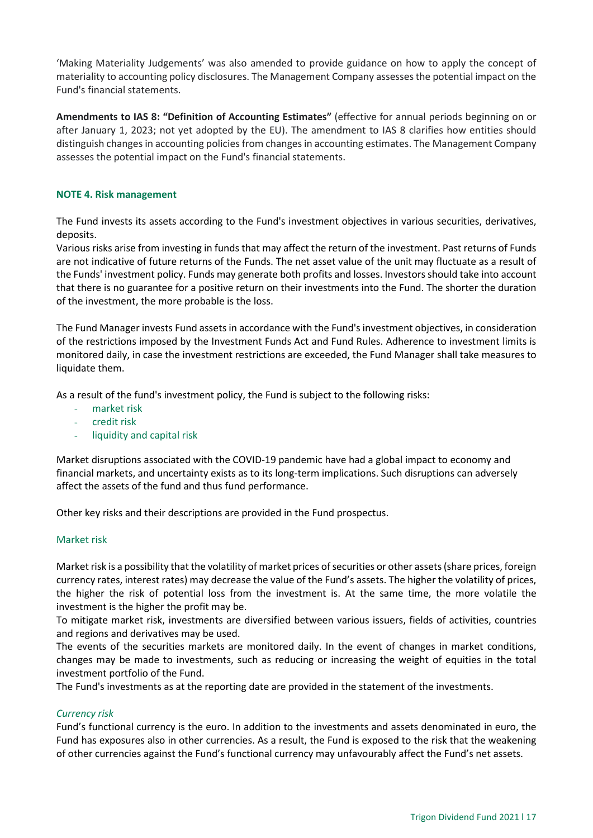'Making Materiality Judgements' was also amended to provide guidance on how to apply the concept of materiality to accounting policy disclosures. The Management Company assesses the potential impact on the Fund's financial statements.

**Amendments to IAS 8: "Definition of Accounting Estimates"** (effective for annual periods beginning on or after January 1, 2023; not yet adopted by the EU). The amendment to IAS 8 clarifies how entities should distinguish changes in accounting policies from changes in accounting estimates. The Management Company assesses the potential impact on the Fund's financial statements.

## <span id="page-16-0"></span>**NOTE 4. Risk management**

The Fund invests its assets according to the Fund's investment objectives in various securities, derivatives, deposits.

Various risks arise from investing in funds that may affect the return of the investment. Past returns of Funds are not indicative of future returns of the Funds. The net asset value of the unit may fluctuate as a result of the Funds' investment policy. Funds may generate both profits and losses. Investors should take into account that there is no guarantee for a positive return on their investments into the Fund. The shorter the duration of the investment, the more probable is the loss.

The Fund Manager invests Fund assets in accordance with the Fund's investment objectives, in consideration of the restrictions imposed by the Investment Funds Act and Fund Rules. Adherence to investment limits is monitored daily, in case the investment restrictions are exceeded, the Fund Manager shall take measures to liquidate them.

As a result of the fund's investment policy, the Fund is subject to the following risks:

- market risk
- credit risk
- liquidity and capital risk

Market disruptions associated with the COVID-19 pandemic have had a global impact to economy and financial markets, and uncertainty exists as to its long-term implications. Such disruptions can adversely affect the assets of the fund and thus fund performance.

Other key risks and their descriptions are provided in the Fund prospectus.

## Market risk

Market risk is a possibility that the volatility of market prices of securities or other assets (share prices, foreign currency rates, interest rates) may decrease the value of the Fund's assets. The higher the volatility of prices, the higher the risk of potential loss from the investment is. At the same time, the more volatile the investment is the higher the profit may be.

To mitigate market risk, investments are diversified between various issuers, fields of activities, countries and regions and derivatives may be used.

The events of the securities markets are monitored daily. In the event of changes in market conditions, changes may be made to investments, such as reducing or increasing the weight of equities in the total investment portfolio of the Fund.

The Fund's investments as at the reporting date are provided in the statement of the investments.

## *Currency risk*

Fund's functional currency is the euro. In addition to the investments and assets denominated in euro, the Fund has exposures also in other currencies. As a result, the Fund is exposed to the risk that the weakening of other currencies against the Fund's functional currency may unfavourably affect the Fund's net assets.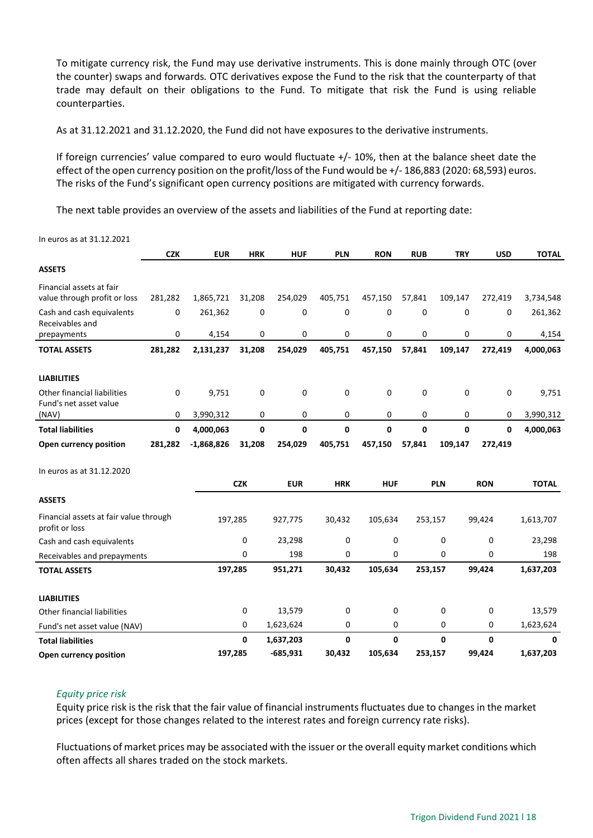To mitigate currency risk, the Fund may use derivative instruments. This is done mainly through OTC (over the counter) swaps and forwards*.* OTC derivatives expose the Fund to the risk that the counterparty of that trade may default on their obligations to the Fund. To mitigate that risk the Fund is using reliable counterparties.

As at 31.12.2021 and 31.12.2020, the Fund did not have exposures to the derivative instruments.

If foreign currencies' value compared to euro would fluctuate +/- 10%, then at the balance sheet date the effect of the open currency position on the profit/loss of the Fund would be +/- 186,883 (2020: 68,593) euros. The risks of the Fund's significant open currency positions are mitigated with currency forwards.

The next table provides an overview of the assets and liabilities of the Fund at reporting date:

|                                                          | <b>CZK</b> | <b>EUR</b>   | <b>HRK</b> | <b>HUF</b>   | <b>PLN</b> | <b>RON</b> | <b>RUB</b>   | <b>TRY</b>   | <b>USD</b>  | <b>TOTAL</b> |
|----------------------------------------------------------|------------|--------------|------------|--------------|------------|------------|--------------|--------------|-------------|--------------|
| <b>ASSETS</b>                                            |            |              |            |              |            |            |              |              |             |              |
| Financial assets at fair<br>value through profit or loss | 281,282    | 1,865,721    | 31,208     | 254,029      | 405,751    | 457,150    | 57,841       | 109,147      | 272,419     | 3,734,548    |
| Cash and cash equivalents<br>Receivables and             | 0          | 261,362      | 0          | 0            | 0          | 0          | 0            | 0            | 0           | 261,362      |
| prepayments                                              | 0          | 4,154        | 0          | 0            | 0          | 0          | 0            | 0            | 0           | 4,154        |
| <b>TOTAL ASSETS</b>                                      | 281,282    | 2,131,237    | 31,208     | 254,029      | 405,751    | 457,150    | 57,841       | 109,147      | 272,419     | 4,000,063    |
| <b>LIABILITIES</b>                                       |            |              |            |              |            |            |              |              |             |              |
| Other financial liabilities<br>Fund's net asset value    | 0          | 9,751        | 0          | 0            | 0          | 0          | 0            | 0            | 0           | 9,751        |
| (NAV)                                                    | 0          | 3,990,312    | 0          | 0            | 0          | 0          | 0            | 0            | 0           | 3,990,312    |
| <b>Total liabilities</b>                                 | 0          | 4,000,063    | 0          | $\mathbf{0}$ | 0          | 0          | $\mathbf{0}$ | $\mathbf{0}$ | 0           | 4,000,063    |
| Open currency position                                   | 281,282    | $-1,868,826$ | 31,208     | 254,029      | 405,751    | 457,150    | 57,841       | 109,147      | 272,419     |              |
| In euros as at 31.12.2020                                |            |              |            |              |            |            |              |              |             |              |
|                                                          |            |              | <b>CZK</b> | <b>EUR</b>   | <b>HRK</b> | <b>HUF</b> |              | <b>PLN</b>   | <b>RON</b>  | <b>TOTAL</b> |
| <b>ASSETS</b>                                            |            |              |            |              |            |            |              |              |             |              |
| Financial assets at fair value through<br>profit or loss |            | 197,285      |            | 927,775      | 30,432     | 105,634    | 253,157      |              | 99,424      | 1,613,707    |
| Cash and cash equivalents                                |            |              | 0          | 23,298       | 0          | 0          |              | 0            | $\mathbf 0$ | 23,298       |
| Receivables and prepayments                              |            |              | 0          | 198          | 0          | 0          |              | 0            | 0           | 198          |
| <b>TOTAL ASSETS</b>                                      |            | 197,285      |            | 951,271      | 30,432     | 105,634    | 253,157      |              | 99,424      | 1,637,203    |
| <b>LIABILITIES</b>                                       |            |              |            |              |            |            |              |              |             |              |
| <b>Other financial liabilities</b>                       |            |              | 0          | 13,579       | 0          | 0          |              | 0            | 0           | 13,579       |
| Fund's net asset value (NAV)                             |            |              | 0          | 1,623,624    | 0          | 0          |              | 0            | 0           | 1,623,624    |
| <b>Total liabilities</b>                                 |            |              | 0          | 1,637,203    | 0          | 0          |              | 0            | $\mathbf 0$ | $\mathbf{0}$ |
| Open currency position                                   |            | 197,285      |            | $-685,931$   | 30,432     | 105,634    | 253,157      |              | 99,424      | 1,637,203    |

In euros as at 31.12.2021

## *Equity price risk*

Equity price risk is the risk that the fair value of financial instruments fluctuates due to changes in the market prices (except for those changes related to the interest rates and foreign currency rate risks).

Fluctuations of market prices may be associated with the issuer or the overall equity market conditions which often affects all shares traded on the stock markets.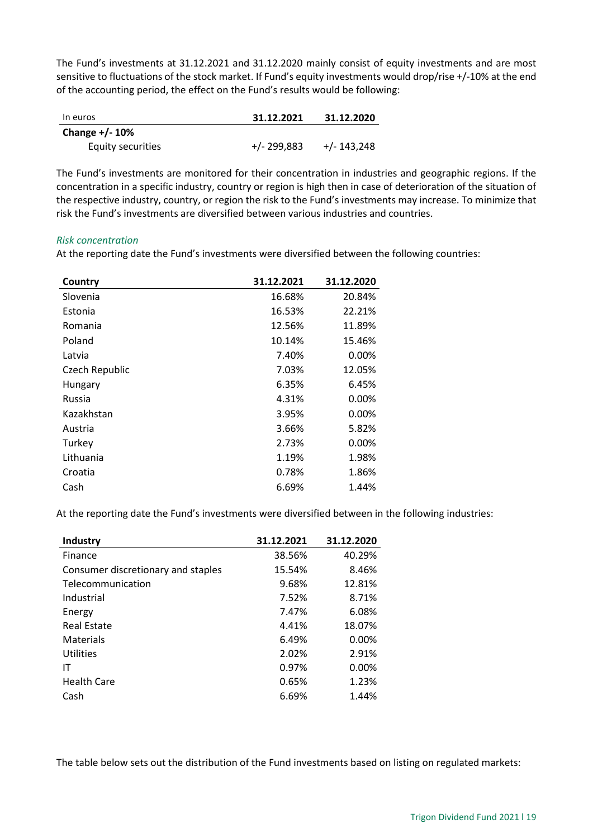The Fund's investments at 31.12.2021 and 31.12.2020 mainly consist of equity investments and are most sensitive to fluctuations of the stock market. If Fund's equity investments would drop/rise +/-10% at the end of the accounting period, the effect on the Fund's results would be following:

| In euros          | 31.12.2021  | 31.12.2020    |
|-------------------|-------------|---------------|
| Change $+/- 10\%$ |             |               |
| Equity securities | +/- 299,883 | $+/- 143,248$ |

The Fund's investments are monitored for their concentration in industries and geographic regions. If the concentration in a specific industry, country or region is high then in case of deterioration of the situation of the respective industry, country, or region the risk to the Fund's investments may increase. To minimize that risk the Fund's investments are diversified between various industries and countries.

### *Risk concentration*

At the reporting date the Fund's investments were diversified between the following countries:

| Country        | 31.12.2021 | 31.12.2020 |
|----------------|------------|------------|
| Slovenia       | 16.68%     | 20.84%     |
| Estonia        | 16.53%     | 22.21%     |
| Romania        | 12.56%     | 11.89%     |
| Poland         | 10.14%     | 15.46%     |
| Latvia         | 7.40%      | $0.00\%$   |
| Czech Republic | 7.03%      | 12.05%     |
| Hungary        | 6.35%      | 6.45%      |
| Russia         | 4.31%      | $0.00\%$   |
| Kazakhstan     | 3.95%      | $0.00\%$   |
| Austria        | 3.66%      | 5.82%      |
| Turkey         | 2.73%      | $0.00\%$   |
| Lithuania      | 1.19%      | 1.98%      |
| Croatia        | 0.78%      | 1.86%      |
| Cash           | 6.69%      | 1.44%      |

At the reporting date the Fund's investments were diversified between in the following industries:

| Industry                           | 31.12.2021 | 31.12.2020 |
|------------------------------------|------------|------------|
| Finance                            | 38.56%     | 40.29%     |
| Consumer discretionary and staples | 15.54%     | 8.46%      |
| Telecommunication                  | 9.68%      | 12.81%     |
| Industrial                         | 7.52%      | 8.71%      |
| Energy                             | 7.47%      | 6.08%      |
| <b>Real Estate</b>                 | 4.41%      | 18.07%     |
| Materials                          | 6.49%      | 0.00%      |
| Utilities                          | 2.02%      | 2.91%      |
| ΙT                                 | 0.97%      | 0.00%      |
| <b>Health Care</b>                 | 0.65%      | 1.23%      |
| Cash                               | 6.69%      | 1.44%      |

The table below sets out the distribution of the Fund investments based on listing on regulated markets: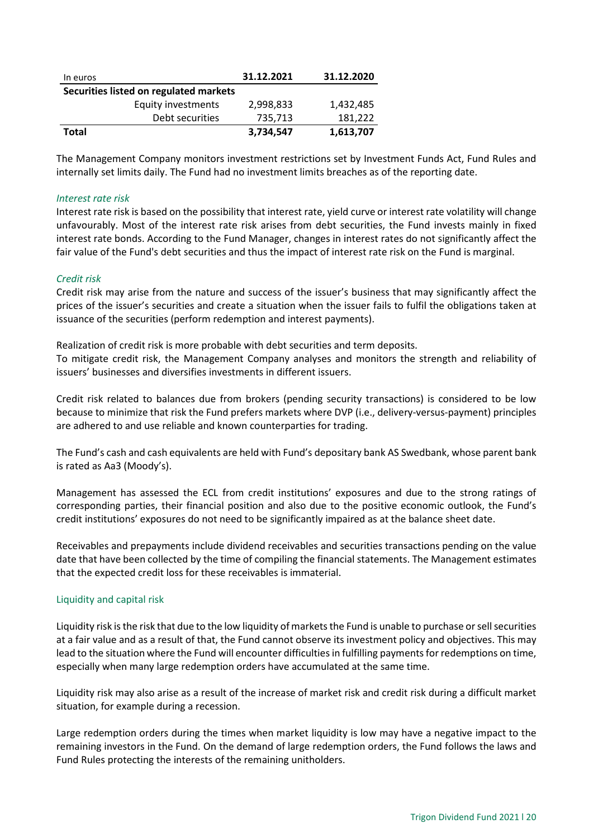| In euros                               | 31.12.2021 | 31.12.2020 |
|----------------------------------------|------------|------------|
| Securities listed on regulated markets |            |            |
| <b>Equity investments</b>              | 2,998,833  | 1,432,485  |
| Debt securities                        | 735,713    | 181,222    |
| <b>Total</b>                           | 3,734,547  | 1,613,707  |

The Management Company monitors investment restrictions set by Investment Funds Act, Fund Rules and internally set limits daily. The Fund had no investment limits breaches as of the reporting date.

#### *Interest rate risk*

Interest rate risk is based on the possibility that interest rate, yield curve or interest rate volatility will change unfavourably. Most of the interest rate risk arises from debt securities, the Fund invests mainly in fixed interest rate bonds. According to the Fund Manager, changes in interest rates do not significantly affect the fair value of the Fund's debt securities and thus the impact of interest rate risk on the Fund is marginal.

### *Credit risk*

Credit risk may arise from the nature and success of the issuer's business that may significantly affect the prices of the issuer's securities and create a situation when the issuer fails to fulfil the obligations taken at issuance of the securities (perform redemption and interest payments).

Realization of credit risk is more probable with debt securities and term deposits. To mitigate credit risk, the Management Company analyses and monitors the strength and reliability of issuers' businesses and diversifies investments in different issuers.

Credit risk related to balances due from brokers (pending security transactions) is considered to be low because to minimize that risk the Fund prefers markets where DVP (i.e., delivery-versus-payment) principles are adhered to and use reliable and known counterparties for trading.

The Fund's cash and cash equivalents are held with Fund's depositary bank AS Swedbank, whose parent bank is rated as Aa3 (Moody's).

Management has assessed the ECL from credit institutions' exposures and due to the strong ratings of corresponding parties, their financial position and also due to the positive economic outlook, the Fund's credit institutions' exposures do not need to be significantly impaired as at the balance sheet date.

Receivables and prepayments include dividend receivables and securities transactions pending on the value date that have been collected by the time of compiling the financial statements. The Management estimates that the expected credit loss for these receivables is immaterial.

## Liquidity and capital risk

Liquidity risk is the risk that due to the low liquidity of markets the Fund is unable to purchase or sell securities at a fair value and as a result of that, the Fund cannot observe its investment policy and objectives. This may lead to the situation where the Fund will encounter difficulties in fulfilling payments for redemptions on time, especially when many large redemption orders have accumulated at the same time.

Liquidity risk may also arise as a result of the increase of market risk and credit risk during a difficult market situation, for example during a recession.

Large redemption orders during the times when market liquidity is low may have a negative impact to the remaining investors in the Fund. On the demand of large redemption orders, the Fund follows the laws and Fund Rules protecting the interests of the remaining unitholders.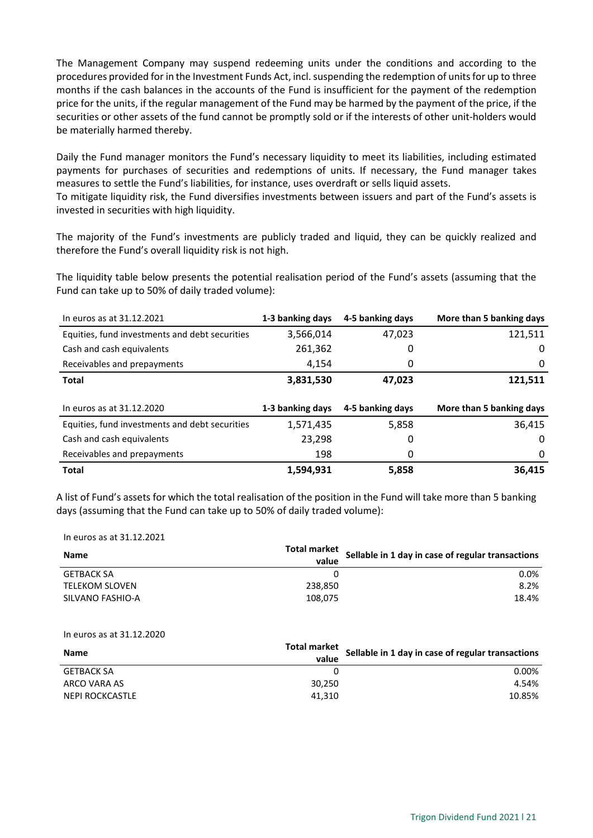The Management Company may suspend redeeming units under the conditions and according to the procedures provided for in the Investment Funds Act, incl. suspending the redemption of units for up to three months if the cash balances in the accounts of the Fund is insufficient for the payment of the redemption price for the units, if the regular management of the Fund may be harmed by the payment of the price, if the securities or other assets of the fund cannot be promptly sold or if the interests of other unit-holders would be materially harmed thereby.

Daily the Fund manager monitors the Fund's necessary liquidity to meet its liabilities, including estimated payments for purchases of securities and redemptions of units. If necessary, the Fund manager takes measures to settle the Fund's liabilities, for instance, uses overdraft or sells liquid assets.

To mitigate liquidity risk, the Fund diversifies investments between issuers and part of the Fund's assets is invested in securities with high liquidity.

The majority of the Fund's investments are publicly traded and liquid, they can be quickly realized and therefore the Fund's overall liquidity risk is not high.

The liquidity table below presents the potential realisation period of the Fund's assets (assuming that the Fund can take up to 50% of daily traded volume):

| In euros as at 31.12.2021                      | 1-3 banking days | 4-5 banking days | More than 5 banking days |
|------------------------------------------------|------------------|------------------|--------------------------|
| Equities, fund investments and debt securities | 3,566,014        | 47,023           | 121,511                  |
| Cash and cash equivalents                      | 261,362          | O                | 0                        |
| Receivables and prepayments                    | 4,154            | 0                | 0                        |
| <b>Total</b>                                   | 3,831,530        | 47,023           | 121,511                  |
|                                                |                  |                  |                          |
|                                                |                  |                  |                          |
| In euros as at 31.12.2020                      | 1-3 banking days | 4-5 banking days | More than 5 banking days |
| Equities, fund investments and debt securities | 1,571,435        | 5,858            | 36,415                   |
| Cash and cash equivalents                      | 23,298           | 0                | 0                        |
| Receivables and prepayments                    | 198              | 0                | 0                        |

A list of Fund's assets for which the total realisation of the position in the Fund will take more than 5 banking days (assuming that the Fund can take up to 50% of daily traded volume):

In euros as at 31.12.2021

| <b>Name</b>           | Total market<br>value | Sellable in 1 day in case of regular transactions |
|-----------------------|-----------------------|---------------------------------------------------|
| <b>GETBACK SA</b>     |                       | $0.0\%$                                           |
| <b>TELEKOM SLOVEN</b> | 238.850               | 8.2%                                              |
| SILVANO FASHIO-A      | 108.075               | 18.4%                                             |

#### In euros as at 31.12.2020

| <b>Name</b>       | Total market<br>value | Sellable in 1 day in case of regular transactions |
|-------------------|-----------------------|---------------------------------------------------|
| <b>GETBACK SA</b> |                       | $0.00\%$                                          |
| ARCO VARA AS      | 30.250                | 4.54%                                             |
| NEPI ROCKCASTLE   | 41.310                | 10.85%                                            |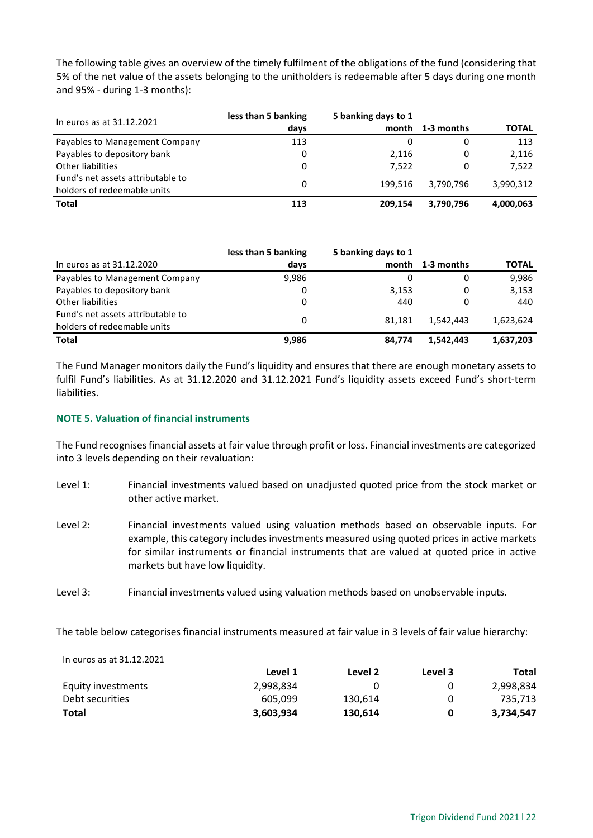The following table gives an overview of the timely fulfilment of the obligations of the fund (considering that 5% of the net value of the assets belonging to the unitholders is redeemable after 5 days during one month and 95% - during 1-3 months):

| In euros as at 31.12.2021                                        | less than 5 banking | 5 banking days to 1 |            |              |
|------------------------------------------------------------------|---------------------|---------------------|------------|--------------|
|                                                                  | days                | month               | 1-3 months | <b>TOTAL</b> |
| Payables to Management Company                                   | 113                 |                     |            | 113          |
| Payables to depository bank                                      | 0                   | 2,116               | 0          | 2,116        |
| Other liabilities                                                | 0                   | 7.522               | 0          | 7.522        |
| Fund's net assets attributable to<br>holders of redeemable units |                     | 199.516             | 3.790.796  | 3,990,312    |
| <b>Total</b>                                                     | 113                 | 209.154             | 3,790,796  | 4,000,063    |

|                                                                  | less than 5 banking | 5 banking days to 1 |                  |              |
|------------------------------------------------------------------|---------------------|---------------------|------------------|--------------|
| In euros as at 31.12.2020                                        | days                |                     | month 1-3 months | <b>TOTAL</b> |
| Payables to Management Company                                   | 9,986               |                     | 0                | 9,986        |
| Payables to depository bank                                      |                     | 3,153               | 0                | 3,153        |
| Other liabilities                                                | 0                   | 440                 | 0                | 440          |
| Fund's net assets attributable to<br>holders of redeemable units | 0                   | 81.181              | 1.542.443        | 1,623,624    |
| Total                                                            | 9,986               | 84.774              | 1.542.443        | 1,637,203    |

The Fund Manager monitors daily the Fund's liquidity and ensures that there are enough monetary assets to fulfil Fund's liabilities. As at 31.12.2020 and 31.12.2021 Fund's liquidity assets exceed Fund's short-term liabilities.

## <span id="page-21-0"></span>**NOTE 5. Valuation of financial instruments**

The Fund recognises financial assets at fair value through profit or loss. Financial investments are categorized into 3 levels depending on their revaluation:

- Level 1: Financial investments valued based on unadjusted quoted price from the stock market or other active market.
- Level 2: Financial investments valued using valuation methods based on observable inputs. For example, this category includes investments measured using quoted prices in active markets for similar instruments or financial instruments that are valued at quoted price in active markets but have low liquidity.

Level 3: Financial investments valued using valuation methods based on unobservable inputs.

The table below categorises financial instruments measured at fair value in 3 levels of fair value hierarchy:

#### In euros as at 31.12.2021

|                    | Level 1   | Level 2 | Level 3 | Total     |
|--------------------|-----------|---------|---------|-----------|
| Equity investments | 2,998,834 |         |         | 2,998,834 |
| Debt securities    | 605,099   | 130,614 |         | 735,713   |
| Total              | 3,603,934 | 130,614 |         | 3,734,547 |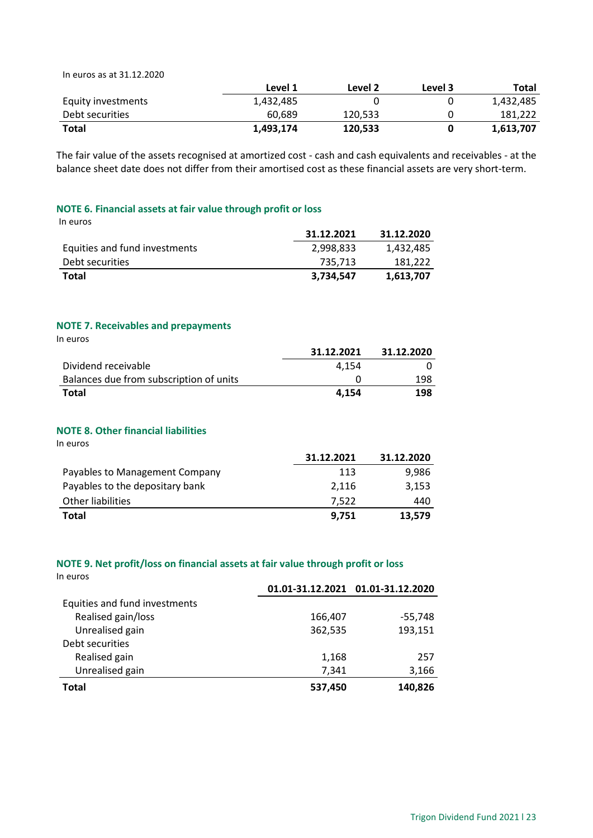In euros as at 31.12.2020

|                    | Level 1   | Level 2 | Level 3 | Total     |
|--------------------|-----------|---------|---------|-----------|
| Equity investments | 1,432,485 |         |         | 1,432,485 |
| Debt securities    | 60,689    | 120.533 |         | 181.222   |
| <b>Total</b>       | 1,493,174 | 120,533 |         | 1,613,707 |

The fair value of the assets recognised at amortized cost - cash and cash equivalents and receivables - at the balance sheet date does not differ from their amortised cost as these financial assets are very short-term.

## <span id="page-22-0"></span>**NOTE 6. Financial assets at fair value through profit or loss**

| In euros                      |            |            |
|-------------------------------|------------|------------|
|                               | 31.12.2021 | 31.12.2020 |
| Equities and fund investments | 2,998,833  | 1,432,485  |
| Debt securities               | 735.713    | 181,222    |
| Total                         | 3,734,547  | 1,613,707  |

## <span id="page-22-1"></span>**NOTE 7. Receivables and prepayments**

| In euros                                |            |            |
|-----------------------------------------|------------|------------|
|                                         | 31.12.2021 | 31.12.2020 |
| Dividend receivable                     | 4.154      |            |
| Balances due from subscription of units |            | 198        |
| <b>Total</b>                            | 4.154      | 198        |

## <span id="page-22-2"></span>**NOTE 8. Other financial liabilities**

In euros

|                                 | 31.12.2021 | 31.12.2020 |
|---------------------------------|------------|------------|
| Payables to Management Company  | 113        | 9,986      |
| Payables to the depositary bank | 2.116      | 3,153      |
| Other liabilities               | 7.522      | 440        |
| <b>Total</b>                    | 9.751      | 13.579     |

## <span id="page-22-3"></span>**NOTE 9. Net profit/loss on financial assets at fair value through profit or loss**

| In euros                      |         |                                   |
|-------------------------------|---------|-----------------------------------|
|                               |         | 01.01-31.12.2021 01.01-31.12.2020 |
| Equities and fund investments |         |                                   |
| Realised gain/loss            | 166,407 | $-55,748$                         |
| Unrealised gain               | 362,535 | 193,151                           |
| Debt securities               |         |                                   |
| Realised gain                 | 1,168   | 257                               |
| Unrealised gain               | 7,341   | 3,166                             |
| Total                         | 537,450 | 140.826                           |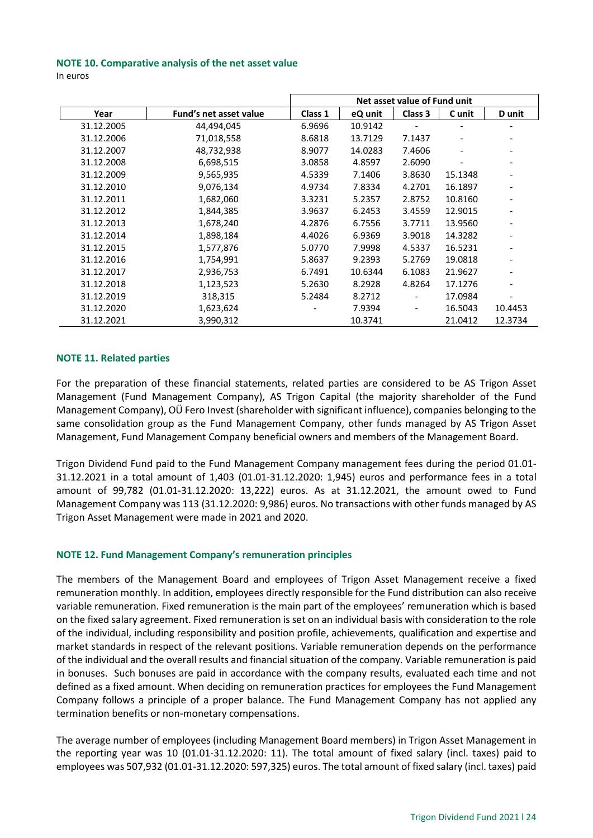#### <span id="page-23-0"></span>**NOTE 10. Comparative analysis of the net asset value**

In euros

|            |                        | Net asset value of Fund unit |         |         |         |         |
|------------|------------------------|------------------------------|---------|---------|---------|---------|
| Year       | Fund's net asset value | Class 1                      | eQ unit | Class 3 | C unit  | D unit  |
| 31.12.2005 | 44,494,045             | 6.9696                       | 10.9142 |         |         |         |
| 31.12.2006 | 71,018,558             | 8.6818                       | 13.7129 | 7.1437  |         |         |
| 31.12.2007 | 48,732,938             | 8.9077                       | 14.0283 | 7.4606  |         |         |
| 31.12.2008 | 6,698,515              | 3.0858                       | 4.8597  | 2.6090  |         |         |
| 31.12.2009 | 9,565,935              | 4.5339                       | 7.1406  | 3.8630  | 15.1348 |         |
| 31.12.2010 | 9,076,134              | 4.9734                       | 7.8334  | 4.2701  | 16.1897 |         |
| 31.12.2011 | 1,682,060              | 3.3231                       | 5.2357  | 2.8752  | 10.8160 |         |
| 31.12.2012 | 1,844,385              | 3.9637                       | 6.2453  | 3.4559  | 12.9015 |         |
| 31.12.2013 | 1,678,240              | 4.2876                       | 6.7556  | 3.7711  | 13.9560 |         |
| 31.12.2014 | 1,898,184              | 4.4026                       | 6.9369  | 3.9018  | 14.3282 |         |
| 31.12.2015 | 1,577,876              | 5.0770                       | 7.9998  | 4.5337  | 16.5231 |         |
| 31.12.2016 | 1,754,991              | 5.8637                       | 9.2393  | 5.2769  | 19.0818 |         |
| 31.12.2017 | 2,936,753              | 6.7491                       | 10.6344 | 6.1083  | 21.9627 |         |
| 31.12.2018 | 1,123,523              | 5.2630                       | 8.2928  | 4.8264  | 17.1276 |         |
| 31.12.2019 | 318,315                | 5.2484                       | 8.2712  |         | 17.0984 |         |
| 31.12.2020 | 1,623,624              |                              | 7.9394  | -       | 16.5043 | 10.4453 |
| 31.12.2021 | 3,990,312              |                              | 10.3741 |         | 21.0412 | 12.3734 |

### <span id="page-23-1"></span>**NOTE 11. Related parties**

For the preparation of these financial statements, related parties are considered to be AS Trigon Asset Management (Fund Management Company), AS Trigon Capital (the majority shareholder of the Fund Management Company), OÜ Fero Invest (shareholder with significant influence), companies belonging to the same consolidation group as the Fund Management Company, other funds managed by AS Trigon Asset Management, Fund Management Company beneficial owners and members of the Management Board.

Trigon Dividend Fund paid to the Fund Management Company management fees during the period 01.01- 31.12.2021 in a total amount of 1,403 (01.01-31.12.2020: 1,945) euros and performance fees in a total amount of 99,782 (01.01-31.12.2020: 13,222) euros. As at 31.12.2021, the amount owed to Fund Management Company was 113 (31.12.2020: 9,986) euros. No transactions with other funds managed by AS Trigon Asset Management were made in 2021 and 2020.

## <span id="page-23-2"></span>**NOTE 12. Fund Management Company's remuneration principles**

The members of the Management Board and employees of Trigon Asset Management receive a fixed remuneration monthly. In addition, employees directly responsible for the Fund distribution can also receive variable remuneration. Fixed remuneration is the main part of the employees' remuneration which is based on the fixed salary agreement. Fixed remuneration is set on an individual basis with consideration to the role of the individual, including responsibility and position profile, achievements, qualification and expertise and market standards in respect of the relevant positions. Variable remuneration depends on the performance of the individual and the overall results and financial situation of the company. Variable remuneration is paid in bonuses. Such bonuses are paid in accordance with the company results, evaluated each time and not defined as a fixed amount. When deciding on remuneration practices for employees the Fund Management Company follows a principle of a proper balance. The Fund Management Company has not applied any termination benefits or non-monetary compensations.

The average number of employees (including Management Board members) in Trigon Asset Management in the reporting year was 10 (01.01-31.12.2020: 11). The total amount of fixed salary (incl. taxes) paid to employees was 507,932 (01.01-31.12.2020: 597,325) euros. The total amount of fixed salary (incl. taxes) paid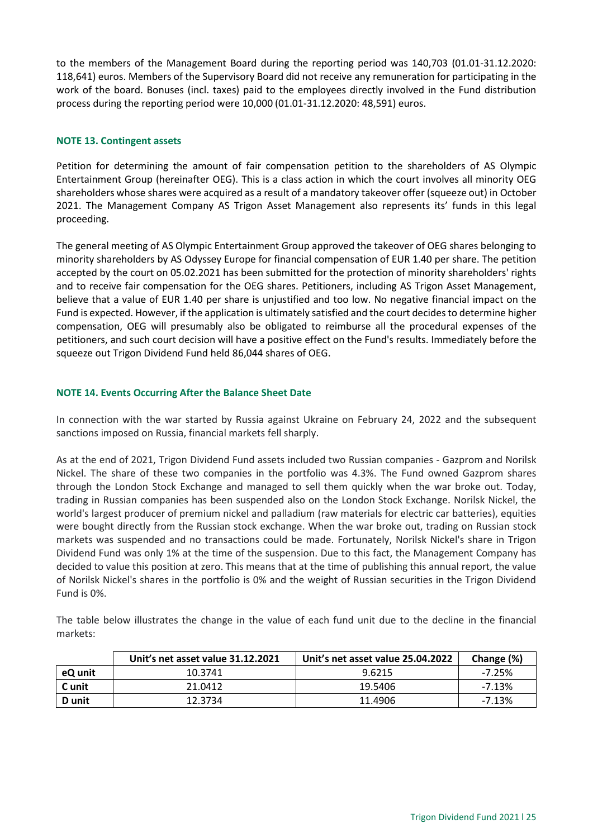to the members of the Management Board during the reporting period was 140,703 (01.01-31.12.2020: 118,641) euros. Members of the Supervisory Board did not receive any remuneration for participating in the work of the board. Bonuses (incl. taxes) paid to the employees directly involved in the Fund distribution process during the reporting period were 10,000 (01.01-31.12.2020: 48,591) euros.

## <span id="page-24-0"></span>**NOTE 13. Contingent assets**

Petition for determining the amount of fair compensation petition to the shareholders of AS Olympic Entertainment Group (hereinafter OEG). This is a class action in which the court involves all minority OEG shareholders whose shares were acquired as a result of a mandatory takeover offer (squeeze out) in October 2021. The Management Company AS Trigon Asset Management also represents its' funds in this legal proceeding.

The general meeting of AS Olympic Entertainment Group approved the takeover of OEG shares belonging to minority shareholders by AS Odyssey Europe for financial compensation of EUR 1.40 per share. The petition accepted by the court on 05.02.2021 has been submitted for the protection of minority shareholders' rights and to receive fair compensation for the OEG shares. Petitioners, including AS Trigon Asset Management, believe that a value of EUR 1.40 per share is unjustified and too low. No negative financial impact on the Fund is expected. However, if the application is ultimately satisfied and the court decides to determine higher compensation, OEG will presumably also be obligated to reimburse all the procedural expenses of the petitioners, and such court decision will have a positive effect on the Fund's results. Immediately before the squeeze out Trigon Dividend Fund held 86,044 shares of OEG.

## <span id="page-24-1"></span>**NOTE 14. Events Occurring After the Balance Sheet Date**

In connection with the war started by Russia against Ukraine on February 24, 2022 and the subsequent sanctions imposed on Russia, financial markets fell sharply.

As at the end of 2021, Trigon Dividend Fund assets included two Russian companies - Gazprom and Norilsk Nickel. The share of these two companies in the portfolio was 4.3%. The Fund owned Gazprom shares through the London Stock Exchange and managed to sell them quickly when the war broke out. Today, trading in Russian companies has been suspended also on the London Stock Exchange. Norilsk Nickel, the world's largest producer of premium nickel and palladium (raw materials for electric car batteries), equities were bought directly from the Russian stock exchange. When the war broke out, trading on Russian stock markets was suspended and no transactions could be made. Fortunately, Norilsk Nickel's share in Trigon Dividend Fund was only 1% at the time of the suspension. Due to this fact, the Management Company has decided to value this position at zero. This means that at the time of publishing this annual report, the value of Norilsk Nickel's shares in the portfolio is 0% and the weight of Russian securities in the Trigon Dividend Fund is 0%.

The table below illustrates the change in the value of each fund unit due to the decline in the financial markets:

|         | Unit's net asset value 31.12.2021 | Unit's net asset value 25.04.2022 | Change (%) |
|---------|-----------------------------------|-----------------------------------|------------|
| eQ unit | 10.3741                           | 9.6215                            | $-7.25%$   |
| C unit  | 21.0412                           | 19.5406                           | $-7.13%$   |
| D unit  | 12.3734                           | 11.4906                           | $-7.13%$   |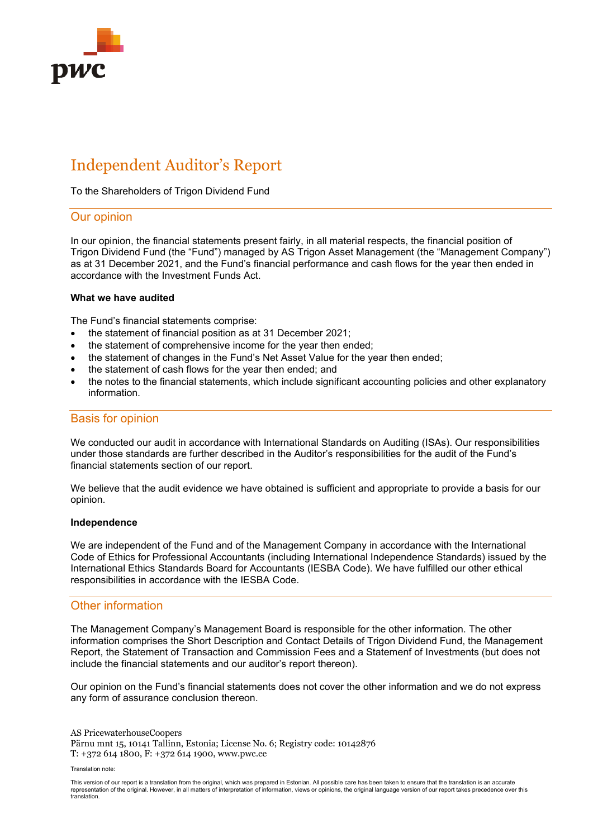

# Independent Auditor's Report

To the Shareholders of Trigon Dividend Fund

## Our opinion

In our opinion, the financial statements present fairly, in all material respects, the financial position of Trigon Dividend Fund (the "Fund") managed by AS Trigon Asset Management (the "Management Company") as at 31 December 2021, and the Fund's financial performance and cash flows for the year then ended in accordance with the Investment Funds Act.

#### **What we have audited**

The Fund's financial statements comprise:

- the statement of financial position as at 31 December 2021;
- the statement of comprehensive income for the year then ended:
- the statement of changes in the Fund's Net Asset Value for the year then ended;
- the statement of cash flows for the year then ended; and
- the notes to the financial statements, which include significant accounting policies and other explanatory information.

## Basis for opinion

We conducted our audit in accordance with International Standards on Auditing (ISAs). Our responsibilities under those standards are further described in the Auditor's responsibilities for the audit of the Fund's financial statements section of our report.

We believe that the audit evidence we have obtained is sufficient and appropriate to provide a basis for our opinion.

#### **Independence**

We are independent of the Fund and of the Management Company in accordance with the International Code of Ethics for Professional Accountants (including International Independence Standards) issued by the International Ethics Standards Board for Accountants (IESBA Code). We have fulfilled our other ethical responsibilities in accordance with the IESBA Code.

## Other information

The Management Company's Management Board is responsible for the other information. The other information comprises the Short Description and Contact Details of Trigon Dividend Fund, the Management Report, the Statement of Transaction and Commission Fees and a Statemenf of Investments (but does not include the financial statements and our auditor's report thereon).

Our opinion on the Fund's financial statements does not cover the other information and we do not express any form of assurance conclusion thereon.

AS PricewaterhouseCoopers Pärnu mnt 15, 10141 Tallinn, Estonia; License No. 6; Registry code: 10142876 T: +372 614 1800, F: +372 614 1900, www.pwc.ee

Translation note:

This version of our report is a translation from the original, which was prepared in Estonian. All possible care has been taken to ensure that the translation is an accurate representation of the original. However, in all matters of interpretation of information, views or opinions, the original language version of our report takes precedence over this translation.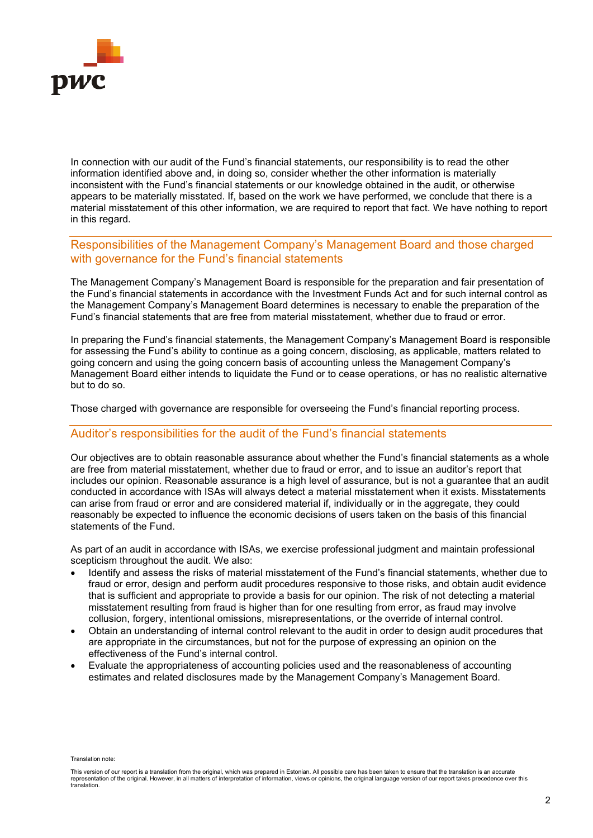

In connection with our audit of the Fund's financial statements, our responsibility is to read the other information identified above and, in doing so, consider whether the other information is materially inconsistent with the Fund's financial statements or our knowledge obtained in the audit, or otherwise appears to be materially misstated. If, based on the work we have performed, we conclude that there is a material misstatement of this other information, we are required to report that fact. We have nothing to report in this regard.

## Responsibilities of the Management Company's Management Board and those charged with governance for the Fund's financial statements

The Management Company's Management Board is responsible for the preparation and fair presentation of the Fund's financial statements in accordance with the Investment Funds Act and for such internal control as the Management Company's Management Board determines is necessary to enable the preparation of the Fund's financial statements that are free from material misstatement, whether due to fraud or error.

In preparing the Fund's financial statements, the Management Company's Management Board is responsible for assessing the Fund's ability to continue as a going concern, disclosing, as applicable, matters related to going concern and using the going concern basis of accounting unless the Management Company's Management Board either intends to liquidate the Fund or to cease operations, or has no realistic alternative but to do so.

Those charged with governance are responsible for overseeing the Fund's financial reporting process.

## Auditor's responsibilities for the audit of the Fund's financial statements

Our objectives are to obtain reasonable assurance about whether the Fund's financial statements as a whole are free from material misstatement, whether due to fraud or error, and to issue an auditor's report that includes our opinion. Reasonable assurance is a high level of assurance, but is not a guarantee that an audit conducted in accordance with ISAs will always detect a material misstatement when it exists. Misstatements can arise from fraud or error and are considered material if, individually or in the aggregate, they could reasonably be expected to influence the economic decisions of users taken on the basis of this financial statements of the Fund.

As part of an audit in accordance with ISAs, we exercise professional judgment and maintain professional scepticism throughout the audit. We also:

- Identify and assess the risks of material misstatement of the Fund's financial statements, whether due to fraud or error, design and perform audit procedures responsive to those risks, and obtain audit evidence that is sufficient and appropriate to provide a basis for our opinion. The risk of not detecting a material misstatement resulting from fraud is higher than for one resulting from error, as fraud may involve collusion, forgery, intentional omissions, misrepresentations, or the override of internal control.
- Obtain an understanding of internal control relevant to the audit in order to design audit procedures that are appropriate in the circumstances, but not for the purpose of expressing an opinion on the effectiveness of the Fund's internal control.
- Evaluate the appropriateness of accounting policies used and the reasonableness of accounting estimates and related disclosures made by the Management Company's Management Board.

Translation note:

This version of our report is a translation from the original, which was prepared in Estonian. All possible care has been taken to ensure that the translation is an accurate representation of the original. However, in all matters of interpretation of information, views or opinions, the original language version of our report takes precedence over this translation.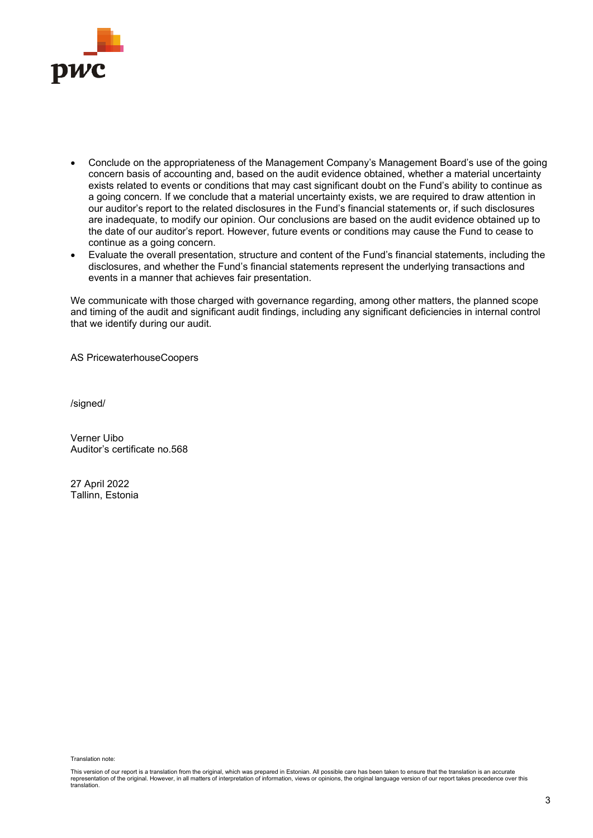

- Conclude on the appropriateness of the Management Company's Management Board's use of the going concern basis of accounting and, based on the audit evidence obtained, whether a material uncertainty exists related to events or conditions that may cast significant doubt on the Fund's ability to continue as a going concern. If we conclude that a material uncertainty exists, we are required to draw attention in our auditor's report to the related disclosures in the Fund's financial statements or, if such disclosures are inadequate, to modify our opinion. Our conclusions are based on the audit evidence obtained up to the date of our auditor's report. However, future events or conditions may cause the Fund to cease to continue as a going concern.
- Evaluate the overall presentation, structure and content of the Fund's financial statements, including the disclosures, and whether the Fund's financial statements represent the underlying transactions and events in a manner that achieves fair presentation.

We communicate with those charged with governance regarding, among other matters, the planned scope and timing of the audit and significant audit findings, including any significant deficiencies in internal control that we identify during our audit.

AS PricewaterhouseCoopers

/signed/

Verner Uibo Auditor's certificate no.568

27 April 2022 Tallinn, Estonia

Translation note:

This version of our report is a translation from the original, which was prepared in Estonian. All possible care has been taken to ensure that the translation is an accurate representation of the original. However, in all matters of interpretation of information, views or opinions, the original language version of our report takes precedence over this translation.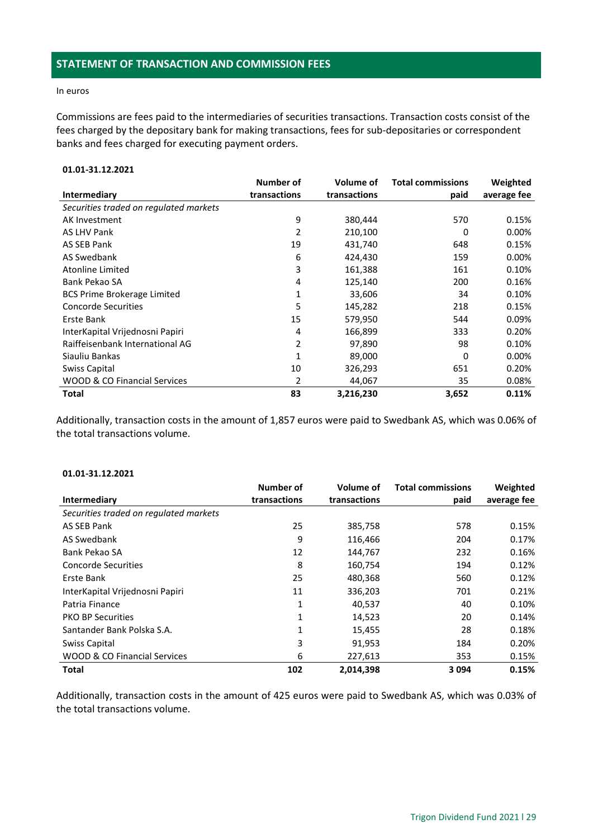#### <span id="page-28-0"></span>In euros

Commissions are fees paid to the intermediaries of securities transactions. Transaction costs consist of the fees charged by the depositary bank for making transactions, fees for sub-depositaries or correspondent banks and fees charged for executing payment orders.

## **01.01-31.12.2021**

|                                         | Number of    | <b>Volume of</b> | <b>Total commissions</b> | Weighted    |
|-----------------------------------------|--------------|------------------|--------------------------|-------------|
| Intermediary                            | transactions | transactions     | paid                     | average fee |
| Securities traded on regulated markets  |              |                  |                          |             |
| AK Investment                           | 9            | 380,444          | 570                      | 0.15%       |
| <b>AS LHV Pank</b>                      | 2            | 210,100          | 0                        | 0.00%       |
| AS SEB Pank                             | 19           | 431,740          | 648                      | 0.15%       |
| <b>AS Swedbank</b>                      | 6            | 424,430          | 159                      | 0.00%       |
| <b>Atonline Limited</b>                 | 3            | 161,388          | 161                      | 0.10%       |
| Bank Pekao SA                           | 4            | 125,140          | 200                      | 0.16%       |
| <b>BCS Prime Brokerage Limited</b>      | 1            | 33,606           | 34                       | 0.10%       |
| <b>Concorde Securities</b>              | 5            | 145,282          | 218                      | 0.15%       |
| Erste Bank                              | 15           | 579,950          | 544                      | 0.09%       |
| InterKapital Vrijednosni Papiri         | 4            | 166,899          | 333                      | 0.20%       |
| Raiffeisenbank International AG         | 2            | 97,890           | 98                       | 0.10%       |
| Siauliu Bankas                          |              | 89,000           | 0                        | 0.00%       |
| Swiss Capital                           | 10           | 326,293          | 651                      | 0.20%       |
| <b>WOOD &amp; CO Financial Services</b> | 2            | 44,067           | 35                       | 0.08%       |
| Total                                   | 83           | 3,216,230        | 3,652                    | 0.11%       |

Additionally, transaction costs in the amount of 1,857 euros were paid to Swedbank AS, which was 0.06% of the total transactions volume.

## **01.01-31.12.2021**

|                                        | Number of    | Volume of    | <b>Total commissions</b> | Weighted    |
|----------------------------------------|--------------|--------------|--------------------------|-------------|
| Intermediary                           | transactions | transactions | paid                     | average fee |
| Securities traded on regulated markets |              |              |                          |             |
| AS SEB Pank                            | 25           | 385,758      | 578                      | 0.15%       |
| AS Swedbank                            | 9            | 116,466      | 204                      | 0.17%       |
| Bank Pekao SA                          | 12           | 144.767      | 232                      | 0.16%       |
| <b>Concorde Securities</b>             | 8            | 160,754      | 194                      | 0.12%       |
| Erste Bank                             | 25           | 480,368      | 560                      | 0.12%       |
| InterKapital Vrijednosni Papiri        | 11           | 336,203      | 701                      | 0.21%       |
| Patria Finance                         | 1            | 40,537       | 40                       | 0.10%       |
| <b>PKO BP Securities</b>               | 1            | 14,523       | 20                       | 0.14%       |
| Santander Bank Polska S.A.             | 1            | 15,455       | 28                       | 0.18%       |
| Swiss Capital                          | 3            | 91,953       | 184                      | 0.20%       |
| WOOD & CO Financial Services           | 6            | 227,613      | 353                      | 0.15%       |
| <b>Total</b>                           | 102          | 2,014,398    | 3 0 9 4                  | 0.15%       |

Additionally, transaction costs in the amount of 425 euros were paid to Swedbank AS, which was 0.03% of the total transactions volume.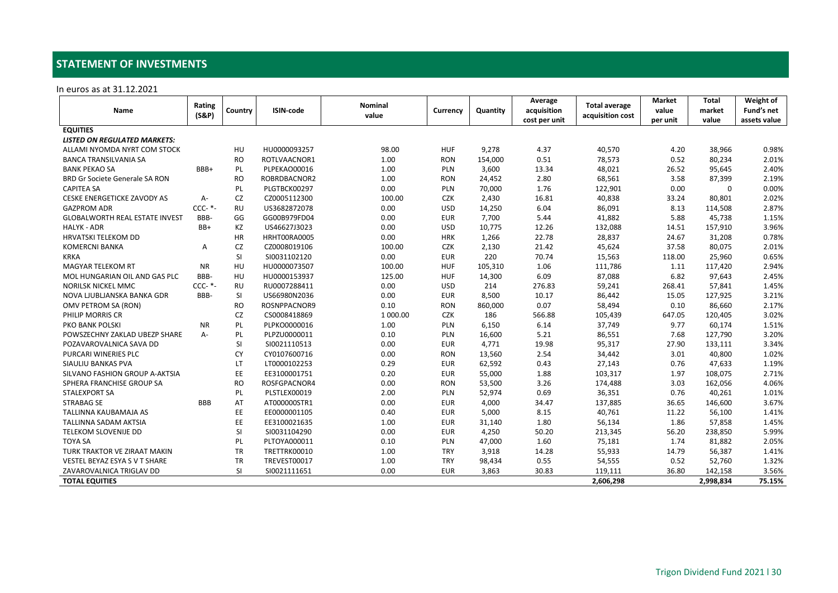## **STATEMENT OF INVESTMENTS**

In euros as at 31.12.2021

<span id="page-29-0"></span>

|                                       | Rating     | Country   | <b>ISIN-code</b> | Nominal  |            | Quantity | Average<br>acquisition | <b>Total average</b><br>acquisition cost | <b>Market</b> | <b>Total</b> | Weight of    |
|---------------------------------------|------------|-----------|------------------|----------|------------|----------|------------------------|------------------------------------------|---------------|--------------|--------------|
| Name                                  | (S&P)      |           |                  | value    | Currency   |          |                        |                                          | value         | market       | Fund's net   |
|                                       |            |           |                  |          |            |          | cost per unit          |                                          | per unit      | value        | assets value |
| <b>EQUITIES</b>                       |            |           |                  |          |            |          |                        |                                          |               |              |              |
| <b>LISTED ON REGULATED MARKETS:</b>   |            |           |                  |          |            |          |                        |                                          |               |              |              |
| ALLAMI NYOMDA NYRT COM STOCK          |            | HU        | HU0000093257     | 98.00    | <b>HUF</b> | 9,278    | 4.37                   | 40,570                                   | 4.20          | 38,966       | 0.98%        |
| <b>BANCA TRANSILVANIA SA</b>          |            | <b>RO</b> | ROTLVAACNOR1     | 1.00     | <b>RON</b> | 154,000  | 0.51                   | 78,573                                   | 0.52          | 80,234       | 2.01%        |
| <b>BANK PEKAO SA</b>                  | BBB+       | PL        | PLPEKAO00016     | 1.00     | PLN        | 3,600    | 13.34                  | 48,021                                   | 26.52         | 95,645       | 2.40%        |
| <b>BRD Gr Societe Generale SA RON</b> |            | <b>RO</b> | ROBRDBACNOR2     | 1.00     | <b>RON</b> | 24,452   | 2.80                   | 68,561                                   | 3.58          | 87,399       | 2.19%        |
| <b>CAPITEA SA</b>                     |            | PL        | PLGTBCK00297     | 0.00     | PLN        | 70,000   | 1.76                   | 122,901                                  | 0.00          | 0            | 0.00%        |
| CESKE ENERGETICKE ZAVODY AS           | A-         | CZ        | CZ0005112300     | 100.00   | <b>CZK</b> | 2,430    | 16.81                  | 40,838                                   | 33.24         | 80,801       | 2.02%        |
| <b>GAZPROM ADR</b>                    | $CCC-$ *-  | <b>RU</b> | US3682872078     | 0.00     | <b>USD</b> | 14,250   | 6.04                   | 86,091                                   | 8.13          | 114,508      | 2.87%        |
| <b>GLOBALWORTH REAL ESTATE INVEST</b> | BBB-       | GG        | GG00B979FD04     | 0.00     | <b>EUR</b> | 7,700    | 5.44                   | 41,882                                   | 5.88          | 45,738       | 1.15%        |
| <b>HALYK - ADR</b>                    | BB+        | KZ        | US46627J3023     | 0.00     | <b>USD</b> | 10,775   | 12.26                  | 132,088                                  | 14.51         | 157,910      | 3.96%        |
| <b>HRVATSKI TELEKOM DD</b>            |            | HR        | HRHT00RA0005     | 0.00     | <b>HRK</b> | 1,266    | 22.78                  | 28,837                                   | 24.67         | 31,208       | 0.78%        |
| <b>KOMERCNI BANKA</b>                 | A          | <b>CZ</b> | CZ0008019106     | 100.00   | <b>CZK</b> | 2,130    | 21.42                  | 45,624                                   | 37.58         | 80,075       | 2.01%        |
| <b>KRKA</b>                           |            | SI        | SI0031102120     | 0.00     | <b>EUR</b> | 220      | 70.74                  | 15,563                                   | 118.00        | 25,960       | 0.65%        |
| <b>MAGYAR TELEKOM RT</b>              | <b>NR</b>  | HU        | HU0000073507     | 100.00   | <b>HUF</b> | 105,310  | 1.06                   | 111,786                                  | 1.11          | 117,420      | 2.94%        |
| MOL HUNGARIAN OIL AND GAS PLC         | BBB-       | HU        | HU0000153937     | 125.00   | <b>HUF</b> | 14,300   | 6.09                   | 87,088                                   | 6.82          | 97,643       | 2.45%        |
| <b>NORILSK NICKEL MMC</b>             | $CCC-$ *-  | <b>RU</b> | RU0007288411     | 0.00     | <b>USD</b> | 214      | 276.83                 | 59,241                                   | 268.41        | 57,841       | 1.45%        |
| NOVA LJUBLJANSKA BANKA GDR            | BBB-       | SI        | US66980N2036     | 0.00     | <b>EUR</b> | 8,500    | 10.17                  | 86,442                                   | 15.05         | 127,925      | 3.21%        |
| OMV PETROM SA (RON)                   |            | <b>RO</b> | ROSNPPACNOR9     | 0.10     | <b>RON</b> | 860,000  | 0.07                   | 58,494                                   | 0.10          | 86,660       | 2.17%        |
| PHILIP MORRIS CR                      |            | CZ        | CS0008418869     | 1 000.00 | <b>CZK</b> | 186      | 566.88                 | 105,439                                  | 647.05        | 120,405      | 3.02%        |
| <b>PKO BANK POLSKI</b>                | <b>NR</b>  | PL        | PLPKO0000016     | 1.00     | PLN        | 6,150    | 6.14                   | 37,749                                   | 9.77          | 60,174       | 1.51%        |
| POWSZECHNY ZAKLAD UBEZP SHARE         | $A -$      | PL        | PLPZU0000011     | 0.10     | PLN        | 16,600   | 5.21                   | 86,551                                   | 7.68          | 127,790      | 3.20%        |
| POZAVAROVALNICA SAVA DD               |            | SI        | SI0021110513     | 0.00     | <b>EUR</b> | 4,771    | 19.98                  | 95,317                                   | 27.90         | 133,111      | 3.34%        |
| PURCARI WINERIES PLC                  |            | <b>CY</b> | CY0107600716     | 0.00     | <b>RON</b> | 13,560   | 2.54                   | 34,442                                   | 3.01          | 40,800       | 1.02%        |
| SIAULIU BANKAS PVA                    |            | LT        | LT0000102253     | 0.29     | <b>EUR</b> | 62,592   | 0.43                   | 27,143                                   | 0.76          | 47,633       | 1.19%        |
| SILVANO FASHION GROUP A-AKTSIA        |            | EE        | EE3100001751     | 0.20     | <b>EUR</b> | 55,000   | 1.88                   | 103,317                                  | 1.97          | 108,075      | 2.71%        |
| SPHERA FRANCHISE GROUP SA             |            | <b>RO</b> | ROSFGPACNOR4     | 0.00     | <b>RON</b> | 53,500   | 3.26                   | 174,488                                  | 3.03          | 162,056      | 4.06%        |
| <b>STALEXPORT SA</b>                  |            | PL        | PLSTLEX00019     | 2.00     | PLN        | 52,974   | 0.69                   | 36,351                                   | 0.76          | 40,261       | 1.01%        |
| <b>STRABAG SE</b>                     | <b>BBB</b> | AT        | AT000000STR1     | 0.00     | <b>EUR</b> | 4,000    | 34.47                  | 137,885                                  | 36.65         | 146,600      | 3.67%        |
| TALLINNA KAUBAMAJA AS                 |            | EE        | EE0000001105     | 0.40     | <b>EUR</b> | 5,000    | 8.15                   | 40,761                                   | 11.22         | 56,100       | 1.41%        |
| <b>TALLINNA SADAM AKTSIA</b>          |            | EE        | EE3100021635     | 1.00     | <b>EUR</b> | 31,140   | 1.80                   | 56,134                                   | 1.86          | 57,858       | 1.45%        |
| TELEKOM SLOVENIJE DD                  |            | SI        | SI0031104290     | 0.00     | <b>EUR</b> | 4,250    | 50.20                  | 213,345                                  | 56.20         | 238,850      | 5.99%        |
| <b>TOYA SA</b>                        |            | PL        | PLTOYA000011     | 0.10     | PLN        | 47,000   | 1.60                   | 75,181                                   | 1.74          | 81,882       | 2.05%        |
| TURK TRAKTOR VE ZIRAAT MAKIN          |            | <b>TR</b> | TRETTRK00010     | 1.00     | <b>TRY</b> | 3,918    | 14.28                  | 55,933                                   | 14.79         | 56,387       | 1.41%        |
| VESTEL BEYAZ ESYA S V T SHARE         |            | <b>TR</b> | TREVEST00017     | 1.00     | <b>TRY</b> | 98,434   | 0.55                   | 54,555                                   | 0.52          | 52,760       | 1.32%        |
| ZAVAROVALNICA TRIGLAV DD              |            | <b>SI</b> | SI0021111651     | 0.00     | <b>EUR</b> | 3,863    | 30.83                  | 119,111                                  | 36.80         | 142,158      | 3.56%        |
| <b>TOTAL EQUITIES</b>                 |            |           |                  |          |            |          |                        | 2,606,298                                |               | 2,998,834    | 75.15%       |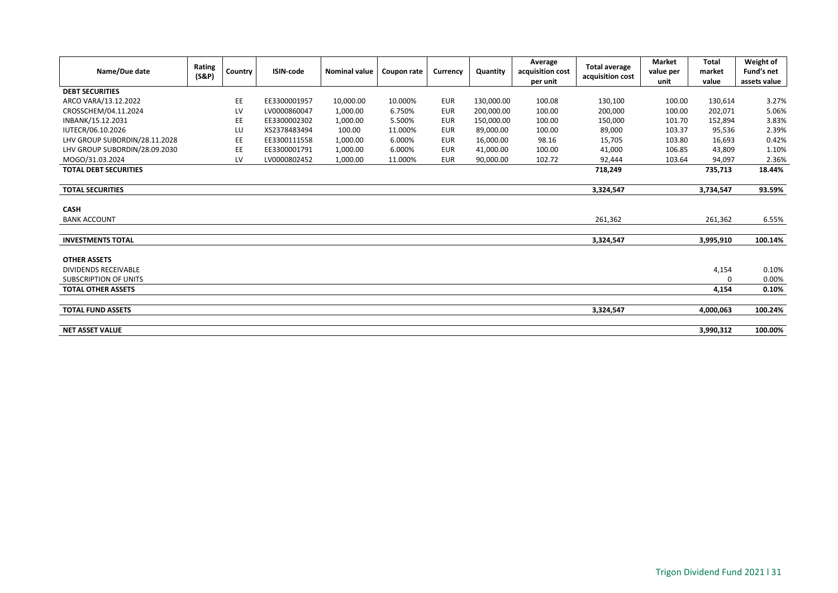| Name/Due date                 | Rating<br>(S&P) | Country | <b>ISIN-code</b> | <b>Nominal value</b> | Coupon rate | Currency   | Quantity   | Average<br>acquisition cost<br>per unit | <b>Total average</b><br>acquisition cost | <b>Market</b><br>value per<br>unit | <b>Total</b><br>market<br>value | Weight of<br>Fund's net<br>assets value |
|-------------------------------|-----------------|---------|------------------|----------------------|-------------|------------|------------|-----------------------------------------|------------------------------------------|------------------------------------|---------------------------------|-----------------------------------------|
| <b>DEBT SECURITIES</b>        |                 |         |                  |                      |             |            |            |                                         |                                          |                                    |                                 |                                         |
| ARCO VARA/13.12.2022          |                 | EE      | EE3300001957     | 10,000.00            | 10.000%     | <b>EUR</b> | 130,000.00 | 100.08                                  | 130,100                                  | 100.00                             | 130,614                         | 3.27%                                   |
| CROSSCHEM/04.11.2024          |                 | LV      | LV0000860047     | 1,000.00             | 6.750%      | <b>EUR</b> | 200,000.00 | 100.00                                  | 200,000                                  | 100.00                             | 202,071                         | 5.06%                                   |
| INBANK/15.12.2031             |                 | EE      | EE3300002302     | 1,000.00             | 5.500%      | <b>EUR</b> | 150,000.00 | 100.00                                  | 150,000                                  | 101.70                             | 152,894                         | 3.83%                                   |
| IUTECR/06.10.2026             |                 | LU      | XS2378483494     | 100.00               | 11.000%     | <b>EUR</b> | 89,000.00  | 100.00                                  | 89,000                                   | 103.37                             | 95,536                          | 2.39%                                   |
| LHV GROUP SUBORDIN/28.11.2028 |                 | EE      | EE3300111558     | 1,000.00             | 6.000%      | <b>EUR</b> | 16,000.00  | 98.16                                   | 15,705                                   | 103.80                             | 16,693                          | 0.42%                                   |
| LHV GROUP SUBORDIN/28.09.2030 |                 | EE      | EE3300001791     | 1,000.00             | 6.000%      | <b>EUR</b> | 41,000.00  | 100.00                                  | 41,000                                   | 106.85                             | 43,809                          | 1.10%                                   |
| MOGO/31.03.2024               |                 | LV      | LV0000802452     | 1,000.00             | 11.000%     | <b>EUR</b> | 90,000.00  | 102.72                                  | 92,444                                   | 103.64                             | 94,097                          | 2.36%                                   |
| <b>TOTAL DEBT SECURITIES</b>  |                 |         |                  |                      |             |            |            |                                         | 718,249                                  |                                    | 735,713                         | 18.44%                                  |
|                               |                 |         |                  |                      |             |            |            |                                         |                                          |                                    |                                 |                                         |
| <b>TOTAL SECURITIES</b>       |                 |         |                  |                      |             |            |            |                                         | 3,324,547                                |                                    | 3,734,547                       | 93.59%                                  |
|                               |                 |         |                  |                      |             |            |            |                                         |                                          |                                    |                                 |                                         |
| <b>CASH</b>                   |                 |         |                  |                      |             |            |            |                                         |                                          |                                    |                                 |                                         |
| <b>BANK ACCOUNT</b>           |                 |         |                  |                      |             |            |            |                                         | 261,362                                  |                                    | 261,362                         | 6.55%                                   |
|                               |                 |         |                  |                      |             |            |            |                                         |                                          |                                    |                                 |                                         |
| <b>INVESTMENTS TOTAL</b>      |                 |         |                  |                      |             |            |            |                                         | 3,324,547                                |                                    | 3,995,910                       | 100.14%                                 |
|                               |                 |         |                  |                      |             |            |            |                                         |                                          |                                    |                                 |                                         |
| <b>OTHER ASSETS</b>           |                 |         |                  |                      |             |            |            |                                         |                                          |                                    |                                 |                                         |
| <b>DIVIDENDS RECEIVABLE</b>   |                 |         |                  |                      |             |            |            |                                         |                                          |                                    | 4,154                           | 0.10%                                   |
| <b>SUBSCRIPTION OF UNITS</b>  |                 |         |                  |                      |             |            |            |                                         |                                          |                                    | $\Omega$                        | 0.00%                                   |
| <b>TOTAL OTHER ASSETS</b>     |                 |         |                  |                      |             |            |            |                                         |                                          |                                    | 4,154                           | 0.10%                                   |
|                               |                 |         |                  |                      |             |            |            |                                         |                                          |                                    |                                 |                                         |
| <b>TOTAL FUND ASSETS</b>      |                 |         |                  |                      |             |            |            |                                         | 3,324,547                                |                                    | 4,000,063                       | 100.24%                                 |
| <b>NET ASSET VALUE</b>        |                 |         |                  |                      |             |            |            |                                         |                                          |                                    | 3,990,312                       | 100.00%                                 |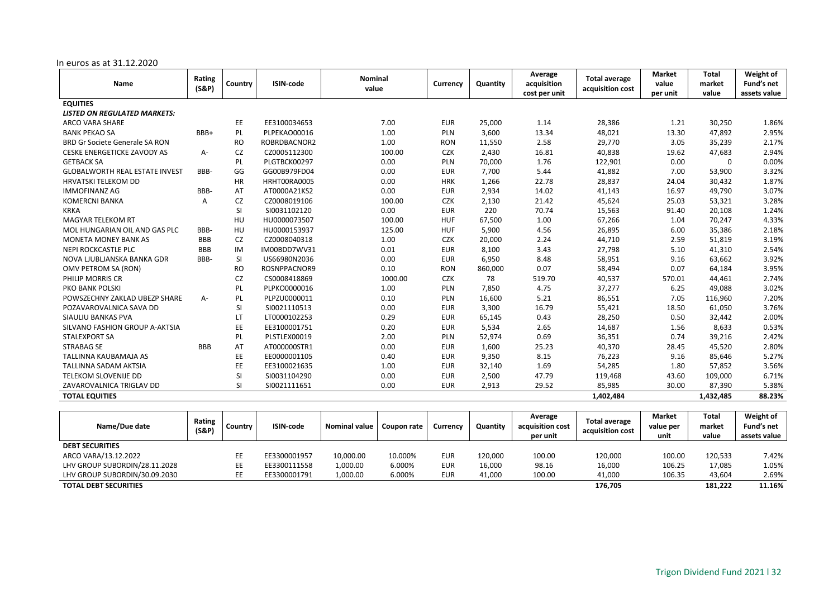#### In euros as at 31.12.2020

|                                       | Rating     |           |              | <b>Nominal</b> |            |          | Average       | <b>Total average</b> | <b>Market</b> | <b>Total</b> | Weight of    |
|---------------------------------------|------------|-----------|--------------|----------------|------------|----------|---------------|----------------------|---------------|--------------|--------------|
| Name                                  | (S&P)      | Country   | ISIN-code    | value          | Currency   | Quantity | acquisition   | acquisition cost     | value         | market       | Fund's net   |
|                                       |            |           |              |                |            |          | cost per unit |                      | per unit      | value        | assets value |
| <b>EQUITIES</b>                       |            |           |              |                |            |          |               |                      |               |              |              |
| <b>LISTED ON REGULATED MARKETS:</b>   |            |           |              |                |            |          |               |                      |               |              |              |
| <b>ARCO VARA SHARE</b>                |            | EE        | EE3100034653 | 7.00           | <b>EUR</b> | 25,000   | 1.14          | 28,386               | 1.21          | 30,250       | 1.86%        |
| <b>BANK PEKAO SA</b>                  | BBB+       | PL        | PLPEKAO00016 | 1.00           | PLN        | 3,600    | 13.34         | 48,021               | 13.30         | 47,892       | 2.95%        |
| <b>BRD Gr Societe Generale SA RON</b> |            | <b>RO</b> | ROBRDBACNOR2 | 1.00           | <b>RON</b> | 11,550   | 2.58          | 29,770               | 3.05          | 35,239       | 2.17%        |
| <b>CESKE ENERGETICKE ZAVODY AS</b>    | A-         | CZ        | CZ0005112300 | 100.00         | <b>CZK</b> | 2,430    | 16.81         | 40,838               | 19.62         | 47,683       | 2.94%        |
| <b>GETBACK SA</b>                     |            | PL        | PLGTBCK00297 | 0.00           | PLN        | 70,000   | 1.76          | 122,901              | 0.00          | $\Omega$     | 0.00%        |
| <b>GLOBALWORTH REAL ESTATE INVEST</b> | BBB-       | GG        | GG00B979FD04 | 0.00           | <b>EUR</b> | 7,700    | 5.44          | 41,882               | 7.00          | 53,900       | 3.32%        |
| <b>HRVATSKI TELEKOM DD</b>            |            | HR        | HRHT00RA0005 | 0.00           | <b>HRK</b> | 1,266    | 22.78         | 28,837               | 24.04         | 30,432       | 1.87%        |
| <b>IMMOFINANZ AG</b>                  | BBB-       | AT        | AT0000A21KS2 | 0.00           | <b>EUR</b> | 2,934    | 14.02         | 41,143               | 16.97         | 49,790       | 3.07%        |
| <b>KOMERCNI BANKA</b>                 | A          | CZ        | CZ0008019106 | 100.00         | <b>CZK</b> | 2,130    | 21.42         | 45,624               | 25.03         | 53,321       | 3.28%        |
| <b>KRKA</b>                           |            | SI        | SI0031102120 | 0.00           | <b>EUR</b> | 220      | 70.74         | 15,563               | 91.40         | 20,108       | 1.24%        |
| <b>MAGYAR TELEKOM RT</b>              |            | HU        | HU0000073507 | 100.00         | <b>HUF</b> | 67,500   | 1.00          | 67,266               | 1.04          | 70,247       | 4.33%        |
| MOL HUNGARIAN OIL AND GAS PLC         | BBB-       | HU        | HU0000153937 | 125.00         | <b>HUF</b> | 5,900    | 4.56          | 26,895               | 6.00          | 35,386       | 2.18%        |
| <b>MONETA MONEY BANK AS</b>           | <b>BBB</b> | CZ        | CZ0008040318 | 1.00           | <b>CZK</b> | 20,000   | 2.24          | 44,710               | 2.59          | 51,819       | 3.19%        |
| NEPI ROCKCASTLE PLC                   | <b>BBB</b> | IM        | IM00BDD7WV31 | 0.01           | <b>EUR</b> | 8,100    | 3.43          | 27,798               | 5.10          | 41,310       | 2.54%        |
| NOVA LJUBLJANSKA BANKA GDR            | BBB-       | SI        | US66980N2036 | 0.00           | <b>EUR</b> | 6,950    | 8.48          | 58,951               | 9.16          | 63,662       | 3.92%        |
| OMV PETROM SA (RON)                   |            | <b>RO</b> | ROSNPPACNOR9 | 0.10           | <b>RON</b> | 860,000  | 0.07          | 58,494               | 0.07          | 64,184       | 3.95%        |
| PHILIP MORRIS CR                      |            | CZ        | CS0008418869 | 1000.00        | <b>CZK</b> | 78       | 519.70        | 40,537               | 570.01        | 44,461       | 2.74%        |
| PKO BANK POLSKI                       |            | PL        | PLPKO0000016 | 1.00           | PLN        | 7,850    | 4.75          | 37,277               | 6.25          | 49,088       | 3.02%        |
| POWSZECHNY ZAKLAD UBEZP SHARE         | A-         | PL        | PLPZU0000011 | 0.10           | PLN        | 16,600   | 5.21          | 86,551               | 7.05          | 116,960      | 7.20%        |
| POZAVAROVALNICA SAVA DD               |            | <b>SI</b> | SI0021110513 | 0.00           | <b>EUR</b> | 3,300    | 16.79         | 55,421               | 18.50         | 61,050       | 3.76%        |
| SIAULIU BANKAS PVA                    |            | <b>LT</b> | LT0000102253 | 0.29           | <b>EUR</b> | 65,145   | 0.43          | 28,250               | 0.50          | 32,442       | 2.00%        |
| SILVANO FASHION GROUP A-AKTSIA        |            | EE        | EE3100001751 | 0.20           | <b>EUR</b> | 5,534    | 2.65          | 14,687               | 1.56          | 8,633        | 0.53%        |
| <b>STALEXPORT SA</b>                  |            | PL        | PLSTLEX00019 | 2.00           | PLN        | 52,974   | 0.69          | 36,351               | 0.74          | 39,216       | 2.42%        |
| <b>STRABAG SE</b>                     | <b>BBB</b> | AT        | AT000000STR1 | 0.00           | <b>EUR</b> | 1,600    | 25.23         | 40,370               | 28.45         | 45,520       | 2.80%        |
| <b>TALLINNA KAUBAMAJA AS</b>          |            | EE        | EE0000001105 | 0.40           | <b>EUR</b> | 9,350    | 8.15          | 76,223               | 9.16          | 85,646       | 5.27%        |
| <b>TALLINNA SADAM AKTSIA</b>          |            | EE        | EE3100021635 | 1.00           | <b>EUR</b> | 32,140   | 1.69          | 54,285               | 1.80          | 57,852       | 3.56%        |
| <b>TELEKOM SLOVENIJE DD</b>           |            | SI        | SI0031104290 | 0.00           | <b>EUR</b> | 2,500    | 47.79         | 119,468              | 43.60         | 109,000      | 6.71%        |
| ZAVAROVALNICA TRIGLAV DD              |            | SI        | SI0021111651 | 0.00           | <b>EUR</b> | 2,913    | 29.52         | 85,985               | 30.00         | 87,390       | 5.38%        |
| <b>TOTAL EQUITIES</b>                 |            |           |              |                |            |          |               | 1,402,484            |               | 1,432,485    | 88.23%       |
|                                       |            |           |              |                |            |          |               |                      |               |              |              |

| Name/Due date                 | Rating<br>$(S\&P)$ | Country | <b>ISIN-code</b> | <b>Nominal value</b> | Coupon rate | Currencv   | Quantity | Average<br>acquisition cost<br>per unit | Total average<br>acquisition cost | <b>Market</b><br>value per<br>unit | Total<br>market<br>value | Weight of<br>Fund's net<br>assets value |
|-------------------------------|--------------------|---------|------------------|----------------------|-------------|------------|----------|-----------------------------------------|-----------------------------------|------------------------------------|--------------------------|-----------------------------------------|
| <b>DEBT SECURITIES</b>        |                    |         |                  |                      |             |            |          |                                         |                                   |                                    |                          |                                         |
| ARCO VARA/13.12.2022          |                    | EЕ      | EE3300001957     | 10,000.00            | 10.000%     | <b>EUR</b> | 120,000  | 100.00                                  | 120,000                           | 100.00                             | 120,533                  | 7.42%                                   |
| LHV GROUP SUBORDIN/28.11.2028 |                    | EE      | EE3300111558     | 1,000.00             | 6.000%      | <b>EUR</b> | 16,000   | 98.16                                   | 16,000                            | 106.25                             | 17,085                   | 1.05%                                   |
| LHV GROUP SUBORDIN/30.09.2030 |                    | EE      | EE3300001791     | 1,000.00             | 6.000%      | <b>EUR</b> | 41,000   | 100.00                                  | 41,000                            | 106.35                             | 43,604                   | 2.69%                                   |
| <b>TOTAL DEBT SECURITIES</b>  |                    |         |                  |                      |             |            |          |                                         | 176.705                           |                                    | 181.222                  | 11.16%                                  |